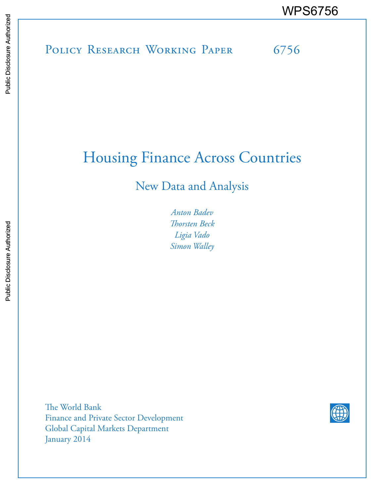# POLICY RESEARCH WORKING PAPER 6756 WPS6756<br>
Media<br>
Media<br>
Policy Research Working Paper 6756<br>
Sales<br>
Paper 6756

Housing Finance Across Countries

New Data and Analysis

*Anton Badev Thorsten Beck Ligia Vado Simon Walley*

The World Bank Finance and Private Sector Development Global Capital Markets Department January 2014

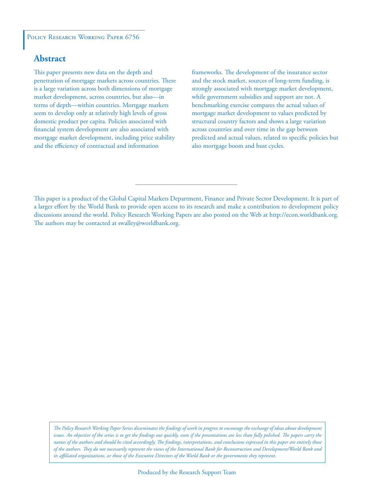### POLICY RESEARCH WORKING PAPER 6756

# **Abstract**

This paper presents new data on the depth and penetration of mortgage markets across countries. There is a large variation across both dimensions of mortgage market development, across countries, but also—in terms of depth—within countries. Mortgage markets seem to develop only at relatively high levels of gross domestic product per capita. Policies associated with financial system development are also associated with mortgage market development, including price stability and the efficiency of contractual and information

frameworks. The development of the insurance sector and the stock market, sources of long-term funding, is strongly associated with mortgage market development, while government subsidies and support are not. A benchmarking exercise compares the actual values of mortgage market development to values predicted by structural country factors and shows a large variation across countries and over time in the gap between predicted and actual values, related to specific policies but also mortgage boom and bust cycles.

This paper is a product of the Global Capital Markets Department, Finance and Private Sector Development. It is part of a larger effort by the World Bank to provide open access to its research and make a contribution to development policy discussions around the world. Policy Research Working Papers are also posted on the Web at http://econ.worldbank.org. The authors may be contacted at swalley@worldbank.org.

*The Policy Research Working Paper Series disseminates the findings of work in progress to encourage the exchange of ideas about development*  issues. An objective of the series is to get the findings out quickly, even if the presentations are less than fully polished. The papers carry the *names of the authors and should be cited accordingly. The findings, interpretations, and conclusions expressed in this paper are entirely those of the authors. They do not necessarily represent the views of the International Bank for Reconstruction and Development/World Bank and its affiliated organizations, or those of the Executive Directors of the World Bank or the governments they represent.*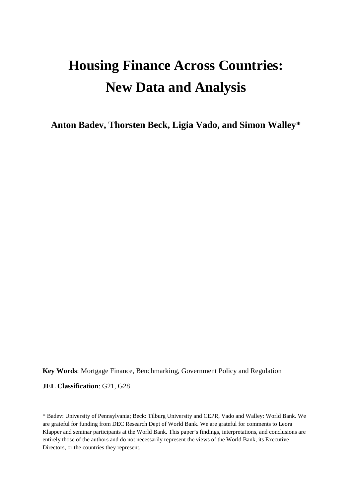# **Housing Finance Across Countries: New Data and Analysis**

**Anton Badev, Thorsten Beck, Ligia Vado, and Simon Walley\***

**Key Words**: Mortgage Finance, Benchmarking, Government Policy and Regulation

**JEL Classification**: G21, G28

\* Badev: University of Pennsylvania; Beck: Tilburg University and CEPR, Vado and Walley: World Bank. We are grateful for funding from DEC Research Dept of World Bank. We are grateful for comments to Leora Klapper and seminar participants at the World Bank. This paper's findings, interpretations, and conclusions are entirely those of the authors and do not necessarily represent the views of the World Bank, its Executive Directors, or the countries they represent.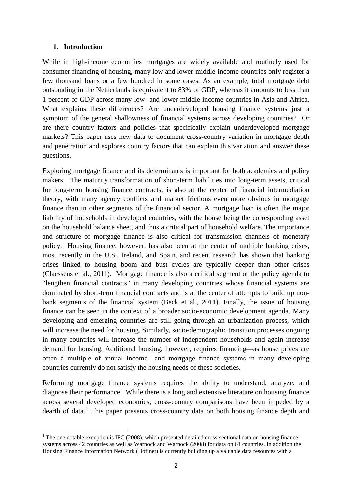# **1. Introduction**

While in high-income economies mortgages are widely available and routinely used for consumer financing of housing, many low and lower-middle-income countries only register a few thousand loans or a few hundred in some cases. As an example, total mortgage debt outstanding in the Netherlands is equivalent to 83% of GDP, whereas it amounts to less than 1 percent of GDP across many low- and lower-middle-income countries in Asia and Africa. What explains these differences? Are underdeveloped housing finance systems just a symptom of the general shallowness of financial systems across developing countries? Or are there country factors and policies that specifically explain underdeveloped mortgage markets? This paper uses new data to document cross-country variation in mortgage depth and penetration and explores country factors that can explain this variation and answer these questions.

Exploring mortgage finance and its determinants is important for both academics and policy makers. The maturity transformation of short-term liabilities into long-term assets, critical for long-term housing finance contracts, is also at the center of financial intermediation theory, with many agency conflicts and market frictions even more obvious in mortgage finance than in other segments of the financial sector. A mortgage loan is often the major liability of households in developed countries, with the house being the corresponding asset on the household balance sheet, and thus a critical part of household welfare. The importance and structure of mortgage finance is also critical for transmission channels of monetary policy. Housing finance, however, has also been at the center of multiple banking crises, most recently in the U.S., Ireland, and Spain, and recent research has shown that banking crises linked to housing boom and bust cycles are typically deeper than other crises (Claessens et al., 2011). Mortgage finance is also a critical segment of the policy agenda to "lengthen financial contracts" in many developing countries whose financial systems are dominated by short-term financial contracts and is at the center of attempts to build up nonbank segments of the financial system (Beck et al., 2011). Finally, the issue of housing finance can be seen in the context of a broader socio-economic development agenda. Many developing and emerging countries are still going through an urbanization process, which will increase the need for housing. Similarly, socio-demographic transition processes ongoing in many countries will increase the number of independent households and again increase demand for housing. Additional housing, however, requires financing—as house prices are often a multiple of annual income—and mortgage finance systems in many developing countries currently do not satisfy the housing needs of these societies.

Reforming mortgage finance systems requires the ability to understand, analyze, and diagnose their performance. While there is a long and extensive literature on housing finance across several developed economies, cross-country comparisons have been impeded by a dearth of data.<sup>[1](#page-3-0)</sup> This paper presents cross-country data on both housing finance depth and

<span id="page-3-0"></span> $1$  The one notable exception is IFC (2008), which presented detailed cross-sectional data on housing finance systems across 42 countries as well as Warnock and Warnock (2008) for data on 61 countries. In addition the Housing Finance Information Network (Hofinet) is currently building up a valuable data resources with a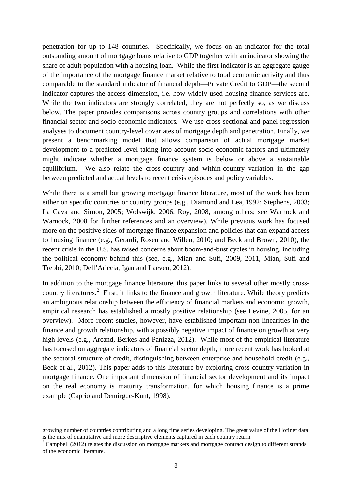penetration for up to 148 countries. Specifically, we focus on an indicator for the total outstanding amount of mortgage loans relative to GDP together with an indicator showing the share of adult population with a housing loan. While the first indicator is an aggregate gauge of the importance of the mortgage finance market relative to total economic activity and thus comparable to the standard indicator of financial depth—Private Credit to GDP—the second indicator captures the access dimension, i.e. how widely used housing finance services are. While the two indicators are strongly correlated, they are not perfectly so, as we discuss below. The paper provides comparisons across country groups and correlations with other financial sector and socio-economic indicators. We use cross-sectional and panel regression analyses to document country-level covariates of mortgage depth and penetration. Finally, we present a benchmarking model that allows comparison of actual mortgage market development to a predicted level taking into account socio-economic factors and ultimately might indicate whether a mortgage finance system is below or above a sustainable equilibrium. We also relate the cross-country and within-country variation in the gap between predicted and actual levels to recent crisis episodes and policy variables.

While there is a small but growing mortgage finance literature, most of the work has been either on specific countries or country groups (e.g., Diamond and Lea, 1992; Stephens, 2003; La Cava and Simon, 2005; Wolswijk, 2006; Roy, 2008, among others; see Warnock and Warnock, 2008 for further references and an overview). While previous work has focused more on the positive sides of mortgage finance expansion and policies that can expand access to housing finance (e.g., Gerardi, Rosen and Willen, 2010; and Beck and Brown, 2010), the recent crisis in the U.S. has raised concerns about boom-and-bust cycles in housing, including the political economy behind this (see, e.g., Mian and Sufi, 2009, 2011, Mian, Sufi and Trebbi, 2010; Dell'Ariccia, Igan and Laeven, 2012).

In addition to the mortgage finance literature, this paper links to several other mostly cross-country literatures.<sup>[2](#page-4-0)</sup> First, it links to the finance and growth literature. While theory predicts an ambiguous relationship between the efficiency of financial markets and economic growth, empirical research has established a mostly positive relationship (see Levine, 2005, for an overview). More recent studies, however, have established important non-linearities in the finance and growth relationship, with a possibly negative impact of finance on growth at very high levels (e.g., Arcand, Berkes and Panizza, 2012). While most of the empirical literature has focused on aggregate indicators of financial sector depth, more recent work has looked at the sectoral structure of credit, distinguishing between enterprise and household credit (e.g., Beck et al., 2012). This paper adds to this literature by exploring cross-country variation in mortgage finance. One important dimension of financial sector development and its impact on the real economy is maturity transformation, for which housing finance is a prime example (Caprio and Demirguc-Kunt, 1998).

-

growing number of countries contributing and a long time series developing. The great value of the Hofinet data <sup>2</sup> Campbell (2012) relates the discussion on mortgage markets and mortgage contract design to different strands <sup>2</sup>

<span id="page-4-0"></span>of the economic literature.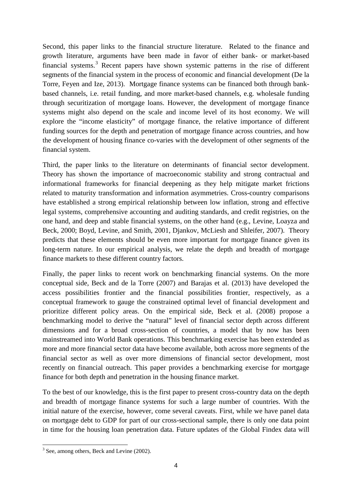Second, this paper links to the financial structure literature. Related to the finance and growth literature, arguments have been made in favor of either bank- or market-based financial systems.[3](#page-5-0) Recent papers have shown systemic patterns in the rise of different segments of the financial system in the process of economic and financial development (De la Torre, Feyen and Ize, 2013). Mortgage finance systems can be financed both through bankbased channels, i.e. retail funding, and more market-based channels, e.g. wholesale funding through securitization of mortgage loans. However, the development of mortgage finance systems might also depend on the scale and income level of its host economy. We will explore the "income elasticity" of mortgage finance, the relative importance of different funding sources for the depth and penetration of mortgage finance across countries, and how the development of housing finance co-varies with the development of other segments of the financial system.

Third, the paper links to the literature on determinants of financial sector development. Theory has shown the importance of macroeconomic stability and strong contractual and informational frameworks for financial deepening as they help mitigate market frictions related to maturity transformation and information asymmetries. Cross-country comparisons have established a strong empirical relationship between low inflation, strong and effective legal systems, comprehensive accounting and auditing standards, and credit registries, on the one hand, and deep and stable financial systems, on the other hand (e.g., Levine, Loayza and Beck, 2000; Boyd, Levine, and Smith, 2001, Djankov, McLiesh and Shleifer, 2007). Theory predicts that these elements should be even more important for mortgage finance given its long-term nature. In our empirical analysis, we relate the depth and breadth of mortgage finance markets to these different country factors.

Finally, the paper links to recent work on benchmarking financial systems. On the more conceptual side, Beck and de la Torre (2007) and Barajas et al. (2013) have developed the access possibilities frontier and the financial possibilities frontier, respectively, as a conceptual framework to gauge the constrained optimal level of financial development and prioritize different policy areas. On the empirical side, Beck et al. (2008) propose a benchmarking model to derive the "natural" level of financial sector depth across different dimensions and for a broad cross-section of countries, a model that by now has been mainstreamed into World Bank operations. This benchmarking exercise has been extended as more and more financial sector data have become available, both across more segments of the financial sector as well as over more dimensions of financial sector development, most recently on financial outreach. This paper provides a benchmarking exercise for mortgage finance for both depth and penetration in the housing finance market.

To the best of our knowledge, this is the first paper to present cross-country data on the depth and breadth of mortgage finance systems for such a large number of countries. With the initial nature of the exercise, however, come several caveats. First, while we have panel data on mortgage debt to GDP for part of our cross-sectional sample, there is only one data point in time for the housing loan penetration data. Future updates of the Global Findex data will

<span id="page-5-0"></span><sup>&</sup>lt;sup>3</sup> See, among others, Beck and Levine (2002).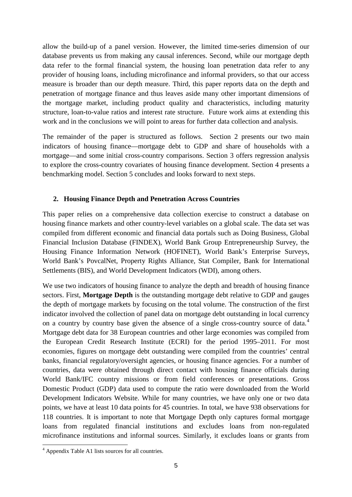allow the build-up of a panel version. However, the limited time-series dimension of our database prevents us from making any causal inferences. Second, while our mortgage depth data refer to the formal financial system, the housing loan penetration data refer to any provider of housing loans, including microfinance and informal providers, so that our access measure is broader than our depth measure. Third, this paper reports data on the depth and penetration of mortgage finance and thus leaves aside many other important dimensions of the mortgage market, including product quality and characteristics, including maturity structure, loan-to-value ratios and interest rate structure. Future work aims at extending this work and in the conclusions we will point to areas for further data collection and analysis.

The remainder of the paper is structured as follows. Section 2 presents our two main indicators of housing finance—mortgage debt to GDP and share of households with a mortgage—and some initial cross-country comparisons. Section 3 offers regression analysis to explore the cross-country covariates of housing finance development. Section 4 presents a benchmarking model. Section 5 concludes and looks forward to next steps.

# **2. Housing Finance Depth and Penetration Across Countries**

This paper relies on a comprehensive data collection exercise to construct a database on housing finance markets and other country-level variables on a global scale. The data set was compiled from different economic and financial data portals such as Doing Business, Global Financial Inclusion Database (FINDEX), World Bank Group Entrepreneurship Survey, the Housing Finance Information Network (HOFINET), World Bank's Enterprise Surveys, World Bank's PovcalNet, Property Rights Alliance, Stat Compiler, Bank for International Settlements (BIS), and World Development Indicators (WDI), among others.

We use two indicators of housing finance to analyze the depth and breadth of housing finance sectors. First, **Mortgage Depth** is the outstanding mortgage debt relative to GDP and gauges the depth of mortgage markets by focusing on the total volume. The construction of the first indicator involved the collection of panel data on mortgage debt outstanding in local currency on a country by country base given the absence of a single cross-country source of data.<sup>[4](#page-6-0)</sup> Mortgage debt data for 38 European countries and other large economies was compiled from the European Credit Research Institute (ECRI) for the period 1995–2011. For most economies, figures on mortgage debt outstanding were compiled from the countries' central banks, financial regulatory/oversight agencies, or housing finance agencies. For a number of countries, data were obtained through direct contact with housing finance officials during World Bank/IFC country missions or from field conferences or presentations. Gross Domestic Product (GDP) data used to compute the ratio were downloaded from the World Development Indicators Website. While for many countries, we have only one or two data points, we have at least 10 data points for 45 countries. In total, we have 938 observations for 118 countries. It is important to note that Mortgage Depth only captures formal mortgage loans from regulated financial institutions and excludes loans from non-regulated microfinance institutions and informal sources. Similarly, it excludes loans or grants from

<span id="page-6-0"></span><sup>4</sup> Appendix Table A1 lists sources for all countries.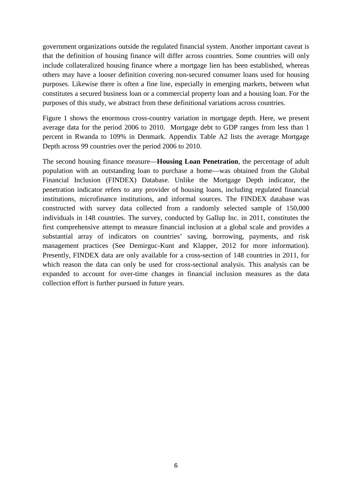government organizations outside the regulated financial system. Another important caveat is that the definition of housing finance will differ across countries. Some countries will only include collateralized housing finance where a mortgage lien has been established, whereas others may have a looser definition covering non-secured consumer loans used for housing purposes. Likewise there is often a fine line, especially in emerging markets, between what constitutes a secured business loan or a commercial property loan and a housing loan. For the purposes of this study, we abstract from these definitional variations across countries.

Figure 1 shows the enormous cross-country variation in mortgage depth. Here, we present average data for the period 2006 to 2010. Mortgage debt to GDP ranges from less than 1 percent in Rwanda to 109% in Denmark. Appendix Table A2 lists the average Mortgage Depth across 99 countries over the period 2006 to 2010.

The second housing finance measure—**Housing Loan Penetration**, the percentage of adult population with an outstanding loan to purchase a home—was obtained from the Global Financial Inclusion (FINDEX) Database. Unlike the Mortgage Depth indicator, the penetration indicator refers to any provider of housing loans, including regulated financial institutions, microfinance institutions, and informal sources. The FINDEX database was constructed with survey data collected from a randomly selected sample of 150,000 individuals in 148 countries. The survey, conducted by Gallup Inc. in 2011, constitutes the first comprehensive attempt to measure financial inclusion at a global scale and provides a substantial array of indicators on countries' saving, borrowing, payments, and risk management practices (See Demirguc-Kunt and Klapper, 2012 for more information). Presently, FINDEX data are only available for a cross-section of 148 countries in 2011, for which reason the data can only be used for cross-sectional analysis. This analysis can be expanded to account for over-time changes in financial inclusion measures as the data collection effort is further pursued in future years.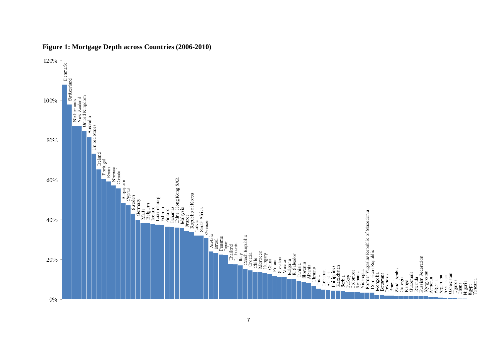

# **Figure 1: Mortgage Depth across Countries (2006-2010)**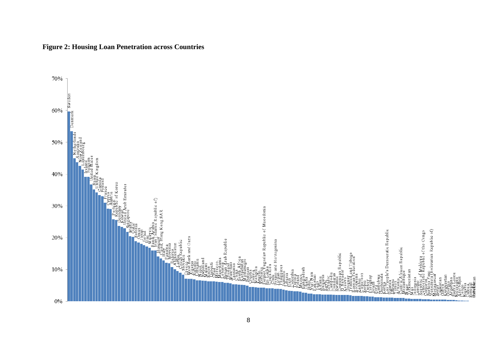

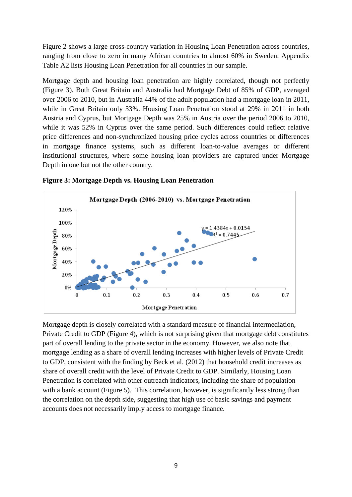Figure 2 shows a large cross-country variation in Housing Loan Penetration across countries, ranging from close to zero in many African countries to almost 60% in Sweden. Appendix Table A2 lists Housing Loan Penetration for all countries in our sample.

Mortgage depth and housing loan penetration are highly correlated, though not perfectly (Figure 3). Both Great Britain and Australia had Mortgage Debt of 85% of GDP, averaged over 2006 to 2010, but in Australia 44% of the adult population had a mortgage loan in 2011, while in Great Britain only 33%. Housing Loan Penetration stood at 29% in 2011 in both Austria and Cyprus, but Mortgage Depth was 25% in Austria over the period 2006 to 2010, while it was 52% in Cyprus over the same period. Such differences could reflect relative price differences and non-synchronized housing price cycles across countries or differences in mortgage finance systems, such as different loan-to-value averages or different institutional structures, where some housing loan providers are captured under Mortgage Depth in one but not the other country.



**Figure 3: Mortgage Depth vs. Housing Loan Penetration**

Mortgage depth is closely correlated with a standard measure of financial intermediation, Private Credit to GDP (Figure 4), which is not surprising given that mortgage debt constitutes part of overall lending to the private sector in the economy. However, we also note that mortgage lending as a share of overall lending increases with higher levels of Private Credit to GDP, consistent with the finding by Beck et al. (2012) that household credit increases as share of overall credit with the level of Private Credit to GDP. Similarly, Housing Loan Penetration is correlated with other outreach indicators, including the share of population with a bank account (Figure 5). This correlation, however, is significantly less strong than the correlation on the depth side, suggesting that high use of basic savings and payment accounts does not necessarily imply access to mortgage finance.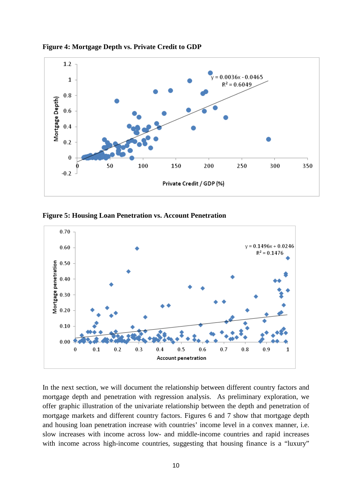

**Figure 4: Mortgage Depth vs. Private Credit to GDP**

**Figure 5: Housing Loan Penetration vs. Account Penetration**



In the next section, we will document the relationship between different country factors and mortgage depth and penetration with regression analysis. As preliminary exploration, we offer graphic illustration of the univariate relationship between the depth and penetration of mortgage markets and different country factors. Figures 6 and 7 show that mortgage depth and housing loan penetration increase with countries' income level in a convex manner, i.e. slow increases with income across low- and middle-income countries and rapid increases with income across high-income countries, suggesting that housing finance is a "luxury"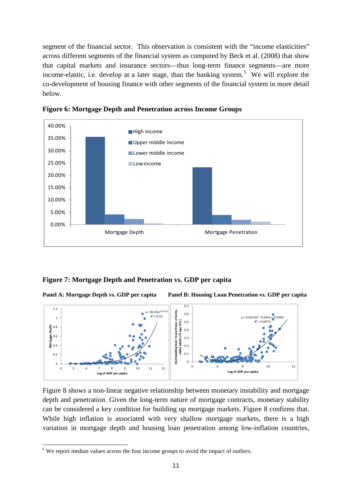segment of the financial sector. This observation is consistent with the "income elasticities" across different segments of the financial system as computed by Beck et al. (2008) that show that capital markets and insurance sectors—thus long-term finance segments—are more income-elastic, i.e. develop at a later stage, than the banking system.<sup>[5](#page-12-0)</sup> We will explore the co-development of housing finance with other segments of the financial system in more detail below.





**Figure 7: Mortgage Depth and Penetration vs. GDP per capita**

**Panel A: Mortgage Depth vs. GDP per capita Panel B: Housing Loan Penetration vs. GDP per capita**



Figure 8 shows a non-linear negative relationship between monetary instability and mortgage depth and penetration. Given the long-term nature of mortgage contracts, monetary stability can be considered a key condition for building up mortgage markets. Figure 8 confirms that. While high inflation is associated with very shallow mortgage markets, there is a high variation in mortgage depth and housing loan penetration among low-inflation countries,

<span id="page-12-0"></span><sup>&</sup>lt;sup>5</sup> We report median values across the four income groups to avoid the impact of outliers.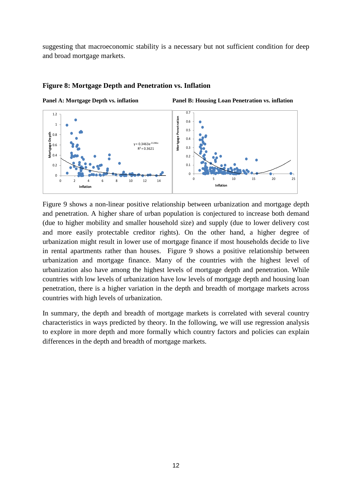suggesting that macroeconomic stability is a necessary but not sufficient condition for deep and broad mortgage markets.



# **Figure 8: Mortgage Depth and Penetration vs. Inflation**

**Panel A: Mortgage Depth vs. inflation Panel B: Housing Loan Penetration vs. inflation** 

Figure 9 shows a non-linear positive relationship between urbanization and mortgage depth and penetration. A higher share of urban population is conjectured to increase both demand (due to higher mobility and smaller household size) and supply (due to lower delivery cost and more easily protectable creditor rights). On the other hand, a higher degree of urbanization might result in lower use of mortgage finance if most households decide to live in rental apartments rather than houses. Figure 9 shows a positive relationship between urbanization and mortgage finance. Many of the countries with the highest level of urbanization also have among the highest levels of mortgage depth and penetration. While countries with low levels of urbanization have low levels of mortgage depth and housing loan penetration, there is a higher variation in the depth and breadth of mortgage markets across countries with high levels of urbanization.

In summary, the depth and breadth of mortgage markets is correlated with several country characteristics in ways predicted by theory. In the following, we will use regression analysis to explore in more depth and more formally which country factors and policies can explain differences in the depth and breadth of mortgage markets.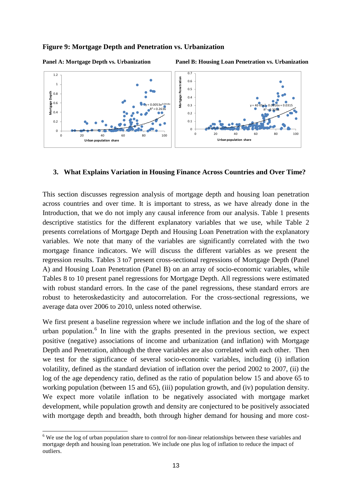### **Figure 9: Mortgage Depth and Penetration vs. Urbanization**



Panel A: Mortgage Depth vs. Urbanization Panel B: Housing Loan Penetration vs. Urbanization

## **3. What Explains Variation in Housing Finance Across Countries and Over Time?**

This section discusses regression analysis of mortgage depth and housing loan penetration across countries and over time. It is important to stress, as we have already done in the Introduction, that we do not imply any causal inference from our analysis. Table 1 presents descriptive statistics for the different explanatory variables that we use, while Table 2 presents correlations of Mortgage Depth and Housing Loan Penetration with the explanatory variables. We note that many of the variables are significantly correlated with the two mortgage finance indicators. We will discuss the different variables as we present the regression results. Tables 3 to7 present cross-sectional regressions of Mortgage Depth (Panel A) and Housing Loan Penetration (Panel B) on an array of socio-economic variables, while Tables 8 to 10 present panel regressions for Mortgage Depth. All regressions were estimated with robust standard errors. In the case of the panel regressions, these standard errors are robust to heteroskedasticity and autocorrelation. For the cross-sectional regressions, we average data over 2006 to 2010, unless noted otherwise.

We first present a baseline regression where we include inflation and the log of the share of urban population. $6$  In line with the graphs presented in the previous section, we expect positive (negative) associations of income and urbanization (and inflation) with Mortgage Depth and Penetration, although the three variables are also correlated with each other. Then we test for the significance of several socio-economic variables, including (i) inflation volatility, defined as the standard deviation of inflation over the period 2002 to 2007, (ii) the log of the age dependency ratio, defined as the ratio of population below 15 and above 65 to working population (between 15 and 65), (iii) population growth, and (iv) population density. We expect more volatile inflation to be negatively associated with mortgage market development, while population growth and density are conjectured to be positively associated with mortgage depth and breadth, both through higher demand for housing and more cost-

<span id="page-14-0"></span><sup>&</sup>lt;sup>6</sup> We use the log of urban population share to control for non-linear relationships between these variables and mortgage depth and housing loan penetration. We include one plus log of inflation to reduce the impact of outliers.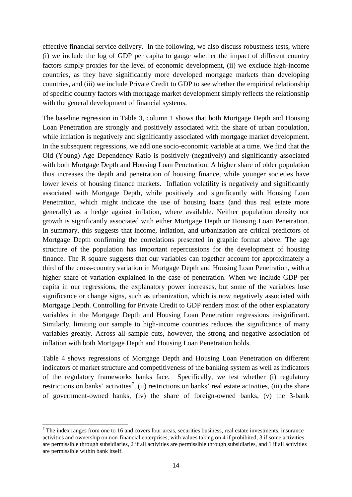effective financial service delivery. In the following, we also discuss robustness tests, where (i) we include the log of GDP per capita to gauge whether the impact of different country factors simply proxies for the level of economic development, (ii) we exclude high-income countries, as they have significantly more developed mortgage markets than developing countries, and (iii) we include Private Credit to GDP to see whether the empirical relationship of specific country factors with mortgage market development simply reflects the relationship with the general development of financial systems.

The baseline regression in Table 3, column 1 shows that both Mortgage Depth and Housing Loan Penetration are strongly and positively associated with the share of urban population, while inflation is negatively and significantly associated with mortgage market development. In the subsequent regressions, we add one socio-economic variable at a time. We find that the Old (Young) Age Dependency Ratio is positively (negatively) and significantly associated with both Mortgage Depth and Housing Loan Penetration. A higher share of older population thus increases the depth and penetration of housing finance, while younger societies have lower levels of housing finance markets. Inflation volatility is negatively and significantly associated with Mortgage Depth, while positively and significantly with Housing Loan Penetration, which might indicate the use of housing loans (and thus real estate more generally) as a hedge against inflation, where available. Neither population density nor growth is significantly associated with either Mortgage Depth or Housing Loan Penetration. In summary, this suggests that income, inflation, and urbanization are critical predictors of Mortgage Depth confirming the correlations presented in graphic format above. The age structure of the population has important repercussions for the development of housing finance. The R square suggests that our variables can together account for approximately a third of the cross-country variation in Mortgage Depth and Housing Loan Penetration, with a higher share of variation explained in the case of penetration. When we include GDP per capita in our regressions, the explanatory power increases, but some of the variables lose significance or change signs, such as urbanization, which is now negatively associated with Mortgage Depth. Controlling for Private Credit to GDP renders most of the other explanatory variables in the Mortgage Depth and Housing Loan Penetration regressions insignificant. Similarly, limiting our sample to high-income countries reduces the significance of many variables greatly. Across all sample cuts, however, the strong and negative association of inflation with both Mortgage Depth and Housing Loan Penetration holds.

Table 4 shows regressions of Mortgage Depth and Housing Loan Penetration on different indicators of market structure and competitiveness of the banking system as well as indicators of the regulatory frameworks banks face. Specifically, we test whether (i) regulatory restrictions on banks' activities<sup>[7](#page-15-0)</sup>, (ii) restrictions on banks' real estate activities, (iii) the share of government-owned banks, (iv) the share of foreign-owned banks, (v) the 3-bank

<span id="page-15-0"></span> $<sup>7</sup>$  The index ranges from one to 16 and covers four areas, securities business, real estate investments, insurance</sup> activities and ownership on non-financial enterprises, with values taking on 4 if prohibited, 3 if some activities are permissible through subsidiaries, 2 if all activities are permissible through subsidiaries, and 1 if all activities are permissible within bank itself.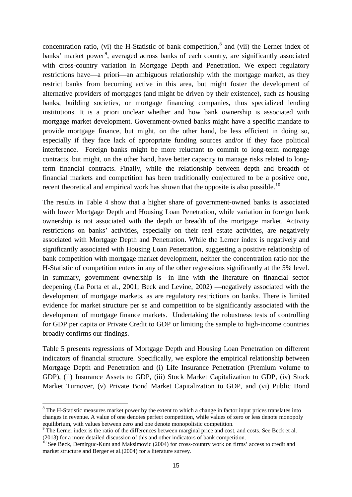concentration ratio, (vi) the H-Statistic of bank competition,<sup>[8](#page-16-0)</sup> and (vii) the Lerner index of banks' market power<sup>[9](#page-16-1)</sup>, averaged across banks of each country, are significantly associated with cross-country variation in Mortgage Depth and Penetration. We expect regulatory restrictions have—a priori—an ambiguous relationship with the mortgage market, as they restrict banks from becoming active in this area, but might foster the development of alternative providers of mortgages (and might be driven by their existence), such as housing banks, building societies, or mortgage financing companies, thus specialized lending institutions. It is a priori unclear whether and how bank ownership is associated with mortgage market development. Government-owned banks might have a specific mandate to provide mortgage finance, but might, on the other hand, be less efficient in doing so, especially if they face lack of appropriate funding sources and/or if they face political interference. Foreign banks might be more reluctant to commit to long-term mortgage contracts, but might, on the other hand, have better capacity to manage risks related to longterm financial contracts. Finally, while the relationship between depth and breadth of financial markets and competition has been traditionally conjectured to be a positive one, recent theoretical and empirical work has shown that the opposite is also possible.<sup>[10](#page-16-2)</sup>

The results in Table 4 show that a higher share of government-owned banks is associated with lower Mortgage Depth and Housing Loan Penetration, while variation in foreign bank ownership is not associated with the depth or breadth of the mortgage market. Activity restrictions on banks' activities, especially on their real estate activities, are negatively associated with Mortgage Depth and Penetration. While the Lerner index is negatively and significantly associated with Housing Loan Penetration, suggesting a positive relationship of bank competition with mortgage market development, neither the concentration ratio nor the H-Statistic of competition enters in any of the other regressions significantly at the 5% level. In summary, government ownership is—in line with the literature on financial sector deepening (La Porta et al., 2001; Beck and Levine, 2002) —negatively associated with the development of mortgage markets, as are regulatory restrictions on banks. There is limited evidence for market structure per se and competition to be significantly associated with the development of mortgage finance markets. Undertaking the robustness tests of controlling for GDP per capita or Private Credit to GDP or limiting the sample to high-income countries broadly confirms our findings.

Table 5 presents regressions of Mortgage Depth and Housing Loan Penetration on different indicators of financial structure. Specifically, we explore the empirical relationship between Mortgage Depth and Penetration and (i) Life Insurance Penetration (Premium volume to GDP), (ii) Insurance Assets to GDP, (iii) Stock Market Capitalization to GDP, (iv) Stock Market Turnover, (v) Private Bond Market Capitalization to GDP, and (vi) Public Bond

<span id="page-16-0"></span><sup>&</sup>lt;sup>8</sup> The H-Statistic measures market power by the extent to which a change in factor input prices translates into changes in revenue. A value of one denotes perfect competition, while values of zero or less denote monopoly equilibrium, with values between zero and one denote monopolistic competition.

<span id="page-16-1"></span><sup>&</sup>lt;sup>9</sup> The Lerner index is the ratio of the differences between marginal price and cost, and costs. See Beck et al. (2013) for a more detailed discussion of this and other indicators of bank competition.

<span id="page-16-2"></span><sup>&</sup>lt;sup>10</sup> See Beck, Demirguc-Kunt and Maksimovic (2004) for cross-country work on firms' access to credit and market structure and Berger et al.(2004) for a literature survey.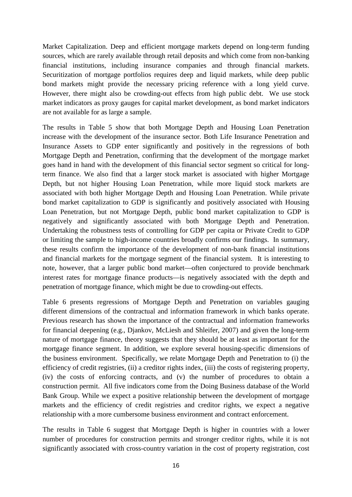Market Capitalization. Deep and efficient mortgage markets depend on long-term funding sources, which are rarely available through retail deposits and which come from non-banking financial institutions, including insurance companies and through financial markets. Securitization of mortgage portfolios requires deep and liquid markets, while deep public bond markets might provide the necessary pricing reference with a long yield curve. However, there might also be crowding-out effects from high public debt. We use stock market indicators as proxy gauges for capital market development, as bond market indicators are not available for as large a sample.

The results in Table 5 show that both Mortgage Depth and Housing Loan Penetration increase with the development of the insurance sector. Both Life Insurance Penetration and Insurance Assets to GDP enter significantly and positively in the regressions of both Mortgage Depth and Penetration, confirming that the development of the mortgage market goes hand in hand with the development of this financial sector segment so critical for longterm finance. We also find that a larger stock market is associated with higher Mortgage Depth, but not higher Housing Loan Penetration, while more liquid stock markets are associated with both higher Mortgage Depth and Housing Loan Penetration. While private bond market capitalization to GDP is significantly and positively associated with Housing Loan Penetration, but not Mortgage Depth, public bond market capitalization to GDP is negatively and significantly associated with both Mortgage Depth and Penetration. Undertaking the robustness tests of controlling for GDP per capita or Private Credit to GDP or limiting the sample to high-income countries broadly confirms our findings. In summary, these results confirm the importance of the development of non-bank financial institutions and financial markets for the mortgage segment of the financial system. It is interesting to note, however, that a larger public bond market—often conjectured to provide benchmark interest rates for mortgage finance products—is negatively associated with the depth and penetration of mortgage finance, which might be due to crowding-out effects.

Table 6 presents regressions of Mortgage Depth and Penetration on variables gauging different dimensions of the contractual and information framework in which banks operate. Previous research has shown the importance of the contractual and information frameworks for financial deepening (e.g., Djankov, McLiesh and Shleifer, 2007) and given the long-term nature of mortgage finance, theory suggests that they should be at least as important for the mortgage finance segment. In addition, we explore several housing-specific dimensions of the business environment. Specifically, we relate Mortgage Depth and Penetration to (i) the efficiency of credit registries, (ii) a creditor rights index, (iii) the costs of registering property, (iv) the costs of enforcing contracts, and (v) the number of procedures to obtain a construction permit. All five indicators come from the Doing Business database of the World Bank Group. While we expect a positive relationship between the development of mortgage markets and the efficiency of credit registries and creditor rights, we expect a negative relationship with a more cumbersome business environment and contract enforcement.

The results in Table 6 suggest that Mortgage Depth is higher in countries with a lower number of procedures for construction permits and stronger creditor rights, while it is not significantly associated with cross-country variation in the cost of property registration, cost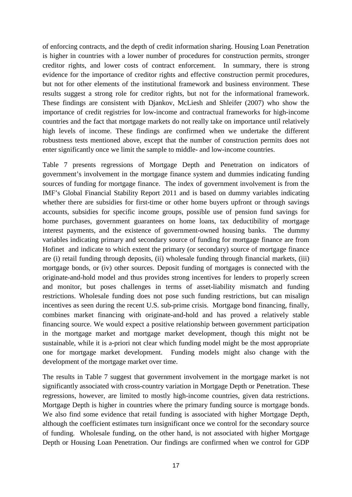of enforcing contracts, and the depth of credit information sharing. Housing Loan Penetration is higher in countries with a lower number of procedures for construction permits, stronger creditor rights, and lower costs of contract enforcement. In summary, there is strong evidence for the importance of creditor rights and effective construction permit procedures, but not for other elements of the institutional framework and business environment. These results suggest a strong role for creditor rights, but not for the informational framework. These findings are consistent with Djankov, McLiesh and Shleifer (2007) who show the importance of credit registries for low-income and contractual frameworks for high-income countries and the fact that mortgage markets do not really take on importance until relatively high levels of income. These findings are confirmed when we undertake the different robustness tests mentioned above, except that the number of construction permits does not enter significantly once we limit the sample to middle- and low-income countries.

Table 7 presents regressions of Mortgage Depth and Penetration on indicators of government's involvement in the mortgage finance system and dummies indicating funding sources of funding for mortgage finance. The index of government involvement is from the IMF's Global Financial Stability Report 2011 and is based on dummy variables indicating whether there are subsidies for first-time or other home buyers upfront or through savings accounts, subsidies for specific income groups, possible use of pension fund savings for home purchases, government guarantees on home loans, tax deductibility of mortgage interest payments, and the existence of government-owned housing banks. The dummy variables indicating primary and secondary source of funding for mortgage finance are from Hofinet and indicate to which extent the primary (or secondary) source of mortgage finance are (i) retail funding through deposits, (ii) wholesale funding through financial markets, (iii) mortgage bonds, or (iv) other sources. Deposit funding of mortgages is connected with the originate-and-hold model and thus provides strong incentives for lenders to properly screen and monitor, but poses challenges in terms of asset-liability mismatch and funding restrictions. Wholesale funding does not pose such funding restrictions, but can misalign incentives as seen during the recent U.S. sub-prime crisis. Mortgage bond financing, finally, combines market financing with originate-and-hold and has proved a relatively stable financing source. We would expect a positive relationship between government participation in the mortgage market and mortgage market development, though this might not be sustainable, while it is a-priori not clear which funding model might be the most appropriate one for mortgage market development. Funding models might also change with the development of the mortgage market over time.

The results in Table 7 suggest that government involvement in the mortgage market is not significantly associated with cross-country variation in Mortgage Depth or Penetration. These regressions, however, are limited to mostly high-income countries, given data restrictions. Mortgage Depth is higher in countries where the primary funding source is mortgage bonds. We also find some evidence that retail funding is associated with higher Mortgage Depth, although the coefficient estimates turn insignificant once we control for the secondary source of funding. Wholesale funding, on the other hand, is not associated with higher Mortgage Depth or Housing Loan Penetration. Our findings are confirmed when we control for GDP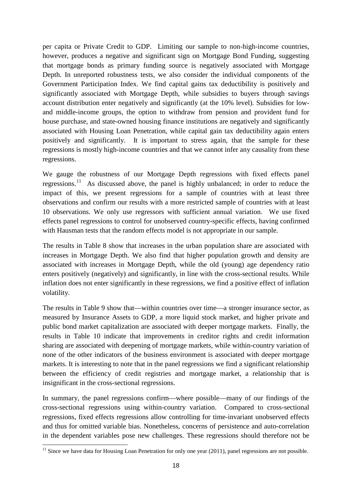per capita or Private Credit to GDP. Limiting our sample to non-high-income countries, however, produces a negative and significant sign on Mortgage Bond Funding, suggesting that mortgage bonds as primary funding source is negatively associated with Mortgage Depth. In unreported robustness tests, we also consider the individual components of the Government Participation Index. We find capital gains tax deductibility is positively and significantly associated with Mortgage Depth, while subsidies to buyers through savings account distribution enter negatively and significantly (at the 10% level). Subsidies for lowand middle-income groups, the option to withdraw from pension and provident fund for house purchase, and state-owned housing finance institutions are negatively and significantly associated with Housing Loan Penetration, while capital gain tax deductibility again enters positively and significantly. It is important to stress again, that the sample for these regressions is mostly high-income countries and that we cannot infer any causality from these regressions.

We gauge the robustness of our Mortgage Depth regressions with fixed effects panel regressions.[11](#page-19-0) As discussed above, the panel is highly unbalanced; in order to reduce the impact of this, we present regressions for a sample of countries with at least three observations and confirm our results with a more restricted sample of countries with at least 10 observations. We only use regressors with sufficient annual variation. We use fixed effects panel regressions to control for unobserved country-specific effects, having confirmed with Hausman tests that the random effects model is not appropriate in our sample.

The results in Table 8 show that increases in the urban population share are associated with increases in Mortgage Depth. We also find that higher population growth and density are associated with increases in Mortgage Depth, while the old (young) age dependency ratio enters positively (negatively) and significantly, in line with the cross-sectional results. While inflation does not enter significantly in these regressions, we find a positive effect of inflation volatility.

The results in Table 9 show that—within countries over time—a stronger insurance sector, as measured by Insurance Assets to GDP, a more liquid stock market, and higher private and public bond market capitalization are associated with deeper mortgage markets. Finally, the results in Table 10 indicate that improvements in creditor rights and credit information sharing are associated with deepening of mortgage markets, while within-country variation of none of the other indicators of the business environment is associated with deeper mortgage markets. It is interesting to note that in the panel regressions we find a significant relationship between the efficiency of credit registries and mortgage market, a relationship that is insignificant in the cross-sectional regressions.

In summary, the panel regressions confirm—where possible—many of our findings of the cross-sectional regressions using within-country variation. Compared to cross-sectional regressions, fixed effects regressions allow controlling for time-invariant unobserved effects and thus for omitted variable bias. Nonetheless, concerns of persistence and auto-correlation in the dependent variables pose new challenges. These regressions should therefore not be

<span id="page-19-0"></span> $11$  Since we have data for Housing Loan Penetration for only one year (2011), panel regressions are not possible.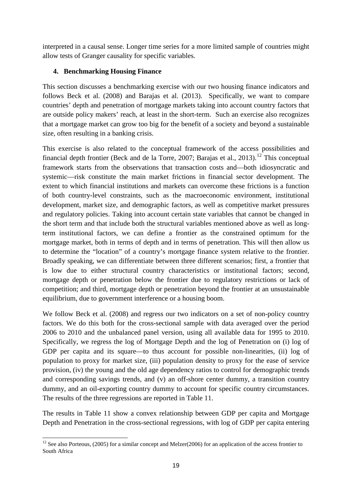interpreted in a causal sense. Longer time series for a more limited sample of countries might allow tests of Granger causality for specific variables.

# **4. Benchmarking Housing Finance**

This section discusses a benchmarking exercise with our two housing finance indicators and follows Beck et al. (2008) and Barajas et al. (2013). Specifically, we want to compare countries' depth and penetration of mortgage markets taking into account country factors that are outside policy makers' reach, at least in the short-term. Such an exercise also recognizes that a mortgage market can grow too big for the benefit of a society and beyond a sustainable size, often resulting in a banking crisis.

This exercise is also related to the conceptual framework of the access possibilities and financial depth frontier (Beck and de la Torre, 2007; Barajas et al., 2013).<sup>[12](#page-20-0)</sup> This conceptual framework starts from the observations that transaction costs and—both idiosyncratic and systemic—risk constitute the main market frictions in financial sector development. The extent to which financial institutions and markets can overcome these frictions is a function of both country-level constraints, such as the macroeconomic environment, institutional development, market size, and demographic factors, as well as competitive market pressures and regulatory policies. Taking into account certain state variables that cannot be changed in the short term and that include both the structural variables mentioned above as well as longterm institutional factors, we can define a frontier as the constrained optimum for the mortgage market, both in terms of depth and in terms of penetration. This will then allow us to determine the "location" of a country's mortgage finance system relative to the frontier. Broadly speaking, we can differentiate between three different scenarios; first, a frontier that is low due to either structural country characteristics or institutional factors; second, mortgage depth or penetration below the frontier due to regulatory restrictions or lack of competition; and third, mortgage depth or penetration beyond the frontier at an unsustainable equilibrium, due to government interference or a housing boom.

We follow Beck et al. (2008) and regress our two indicators on a set of non-policy country factors. We do this both for the cross-sectional sample with data averaged over the period 2006 to 2010 and the unbalanced panel version, using all available data for 1995 to 2010. Specifically, we regress the log of Mortgage Depth and the log of Penetration on (i) log of GDP per capita and its square—to thus account for possible non-linearities, (ii) log of population to proxy for market size, (iii) population density to proxy for the ease of service provision, (iv) the young and the old age dependency ratios to control for demographic trends and corresponding savings trends, and (v) an off-shore center dummy, a transition country dummy, and an oil-exporting country dummy to account for specific country circumstances. The results of the three regressions are reported in Table 11.

The results in Table 11 show a convex relationship between GDP per capita and Mortgage Depth and Penetration in the cross-sectional regressions, with log of GDP per capita entering

<span id="page-20-0"></span> $12$  See also Porteous, (2005) for a similar concept and Melzer(2006) for an application of the access frontier to South Africa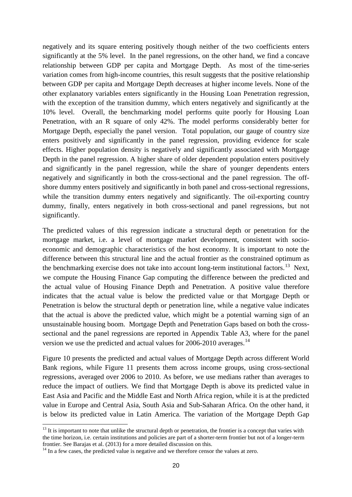negatively and its square entering positively though neither of the two coefficients enters significantly at the 5% level. In the panel regressions, on the other hand, we find a concave relationship between GDP per capita and Mortgage Depth. As most of the time-series variation comes from high-income countries, this result suggests that the positive relationship between GDP per capita and Mortgage Depth decreases at higher income levels. None of the other explanatory variables enters significantly in the Housing Loan Penetration regression, with the exception of the transition dummy, which enters negatively and significantly at the 10% level. Overall, the benchmarking model performs quite poorly for Housing Loan Penetration, with an R square of only 42%. The model performs considerably better for Mortgage Depth, especially the panel version. Total population, our gauge of country size enters positively and significantly in the panel regression, providing evidence for scale effects. Higher population density is negatively and significantly associated with Mortgage Depth in the panel regression. A higher share of older dependent population enters positively and significantly in the panel regression, while the share of younger dependents enters negatively and significantly in both the cross-sectional and the panel regression. The offshore dummy enters positively and significantly in both panel and cross-sectional regressions, while the transition dummy enters negatively and significantly. The oil-exporting country dummy, finally, enters negatively in both cross-sectional and panel regressions, but not significantly.

The predicted values of this regression indicate a structural depth or penetration for the mortgage market, i.e. a level of mortgage market development, consistent with socioeconomic and demographic characteristics of the host economy. It is important to note the difference between this structural line and the actual frontier as the constrained optimum as the benchmarking exercise does not take into account long-term institutional factors.<sup>[13](#page-21-0)</sup> Next, we compute the Housing Finance Gap computing the difference between the predicted and the actual value of Housing Finance Depth and Penetration. A positive value therefore indicates that the actual value is below the predicted value or that Mortgage Depth or Penetration is below the structural depth or penetration line, while a negative value indicates that the actual is above the predicted value, which might be a potential warning sign of an unsustainable housing boom. Mortgage Depth and Penetration Gaps based on both the crosssectional and the panel regressions are reported in Appendix Table A3, where for the panel version we use the predicted and actual values for 2006-2010 averages.<sup>[14](#page-21-1)</sup>

Figure 10 presents the predicted and actual values of Mortgage Depth across different World Bank regions, while Figure 11 presents them across income groups, using cross-sectional regressions, averaged over 2006 to 2010. As before, we use medians rather than averages to reduce the impact of outliers. We find that Mortgage Depth is above its predicted value in East Asia and Pacific and the Middle East and North Africa region, while it is at the predicted value in Europe and Central Asia, South Asia and Sub-Saharan Africa. On the other hand, it is below its predicted value in Latin America. The variation of the Mortgage Depth Gap

<span id="page-21-0"></span> $13$  It is important to note that unlike the structural depth or penetration, the frontier is a concept that varies with the time horizon, i.e. certain institutions and policies are part of a shorter-term frontier but not of a longer-term frontier. See Barajas et al. (2013) for a more detailed discussion on this.

<span id="page-21-1"></span> $14$  In a few cases, the predicted value is negative and we therefore censor the values at zero.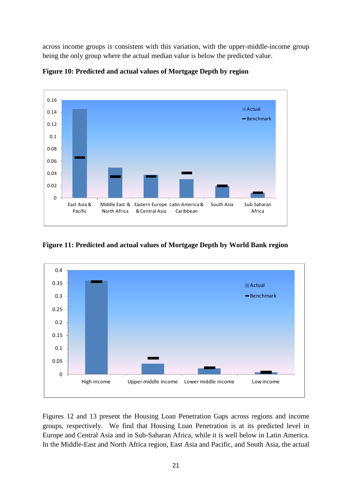across income groups is consistent with this variation, with the upper-middle-income group being the only group where the actual median value is below the predicted value.



**Figure 10: Predicted and actual values of Mortgage Depth by region** 

**Figure 11: Predicted and actual values of Mortgage Depth by World Bank region** 



Figures 12 and 13 present the Housing Loan Penetration Gaps across regions and income groups, respectively. We find that Housing Loan Penetration is at its predicted level in Europe and Central Asia and in Sub-Saharan Africa, while it is well below in Latin America. In the Middle-East and North Africa region, East Asia and Pacific, and South Asia, the actual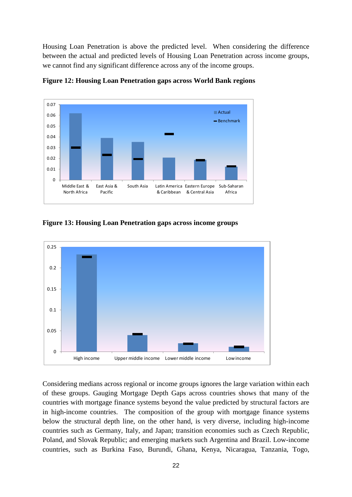Housing Loan Penetration is above the predicted level. When considering the difference between the actual and predicted levels of Housing Loan Penetration across income groups, we cannot find any significant difference across any of the income groups.



**Figure 12: Housing Loan Penetration gaps across World Bank regions**

**Figure 13: Housing Loan Penetration gaps across income groups**



Considering medians across regional or income groups ignores the large variation within each of these groups. Gauging Mortgage Depth Gaps across countries shows that many of the countries with mortgage finance systems beyond the value predicted by structural factors are in high-income countries. The composition of the group with mortgage finance systems below the structural depth line, on the other hand, is very diverse, including high-income countries such as Germany, Italy, and Japan; transition economies such as Czech Republic, Poland, and Slovak Republic; and emerging markets such Argentina and Brazil. Low-income countries, such as Burkina Faso, Burundi, Ghana, Kenya, Nicaragua, Tanzania, Togo,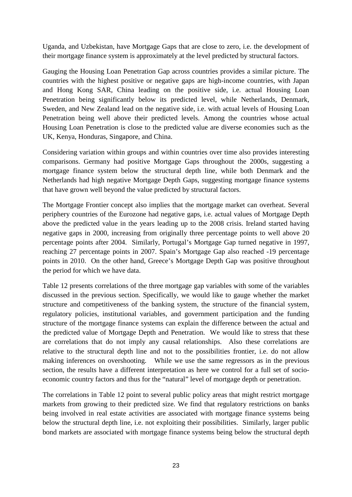Uganda, and Uzbekistan, have Mortgage Gaps that are close to zero, i.e. the development of their mortgage finance system is approximately at the level predicted by structural factors.

Gauging the Housing Loan Penetration Gap across countries provides a similar picture. The countries with the highest positive or negative gaps are high-income countries, with Japan and Hong Kong SAR, China leading on the positive side, i.e. actual Housing Loan Penetration being significantly below its predicted level, while Netherlands, Denmark, Sweden, and New Zealand lead on the negative side, i.e. with actual levels of Housing Loan Penetration being well above their predicted levels. Among the countries whose actual Housing Loan Penetration is close to the predicted value are diverse economies such as the UK, Kenya, Honduras, Singapore, and China.

Considering variation within groups and within countries over time also provides interesting comparisons. Germany had positive Mortgage Gaps throughout the 2000s, suggesting a mortgage finance system below the structural depth line, while both Denmark and the Netherlands had high negative Mortgage Depth Gaps, suggesting mortgage finance systems that have grown well beyond the value predicted by structural factors.

The Mortgage Frontier concept also implies that the mortgage market can overheat. Several periphery countries of the Eurozone had negative gaps, i.e. actual values of Mortgage Depth above the predicted value in the years leading up to the 2008 crisis. Ireland started having negative gaps in 2000, increasing from originally three percentage points to well above 20 percentage points after 2004. Similarly, Portugal's Mortgage Gap turned negative in 1997, reaching 27 percentage points in 2007. Spain's Mortgage Gap also reached -19 percentage points in 2010. On the other hand, Greece's Mortgage Depth Gap was positive throughout the period for which we have data.

Table 12 presents correlations of the three mortgage gap variables with some of the variables discussed in the previous section. Specifically, we would like to gauge whether the market structure and competitiveness of the banking system, the structure of the financial system, regulatory policies, institutional variables, and government participation and the funding structure of the mortgage finance systems can explain the difference between the actual and the predicted value of Mortgage Depth and Penetration. We would like to stress that these are correlations that do not imply any causal relationships. Also these correlations are relative to the structural depth line and not to the possibilities frontier, i.e. do not allow making inferences on overshooting. While we use the same regressors as in the previous section, the results have a different interpretation as here we control for a full set of socioeconomic country factors and thus for the "natural" level of mortgage depth or penetration.

The correlations in Table 12 point to several public policy areas that might restrict mortgage markets from growing to their predicted size. We find that regulatory restrictions on banks being involved in real estate activities are associated with mortgage finance systems being below the structural depth line, i.e. not exploiting their possibilities. Similarly, larger public bond markets are associated with mortgage finance systems being below the structural depth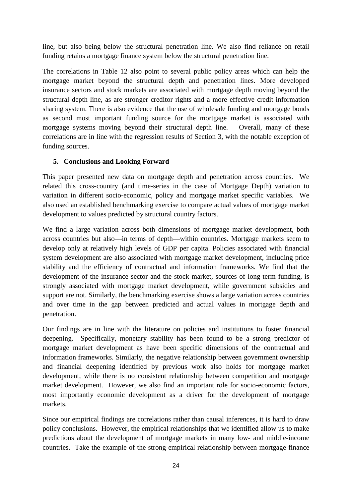line, but also being below the structural penetration line. We also find reliance on retail funding retains a mortgage finance system below the structural penetration line.

The correlations in Table 12 also point to several public policy areas which can help the mortgage market beyond the structural depth and penetration lines. More developed insurance sectors and stock markets are associated with mortgage depth moving beyond the structural depth line, as are stronger creditor rights and a more effective credit information sharing system. There is also evidence that the use of wholesale funding and mortgage bonds as second most important funding source for the mortgage market is associated with mortgage systems moving beyond their structural depth line. Overall, many of these correlations are in line with the regression results of Section 3, with the notable exception of funding sources.

# **5. Conclusions and Looking Forward**

This paper presented new data on mortgage depth and penetration across countries. We related this cross-country (and time-series in the case of Mortgage Depth) variation to variation in different socio-economic, policy and mortgage market specific variables. We also used an established benchmarking exercise to compare actual values of mortgage market development to values predicted by structural country factors.

We find a large variation across both dimensions of mortgage market development, both across countries but also—in terms of depth—within countries. Mortgage markets seem to develop only at relatively high levels of GDP per capita. Policies associated with financial system development are also associated with mortgage market development, including price stability and the efficiency of contractual and information frameworks. We find that the development of the insurance sector and the stock market, sources of long-term funding, is strongly associated with mortgage market development, while government subsidies and support are not. Similarly, the benchmarking exercise shows a large variation across countries and over time in the gap between predicted and actual values in mortgage depth and penetration.

Our findings are in line with the literature on policies and institutions to foster financial deepening. Specifically, monetary stability has been found to be a strong predictor of mortgage market development as have been specific dimensions of the contractual and information frameworks. Similarly, the negative relationship between government ownership and financial deepening identified by previous work also holds for mortgage market development, while there is no consistent relationship between competition and mortgage market development. However, we also find an important role for socio-economic factors, most importantly economic development as a driver for the development of mortgage markets.

Since our empirical findings are correlations rather than causal inferences, it is hard to draw policy conclusions. However, the empirical relationships that we identified allow us to make predictions about the development of mortgage markets in many low- and middle-income countries. Take the example of the strong empirical relationship between mortgage finance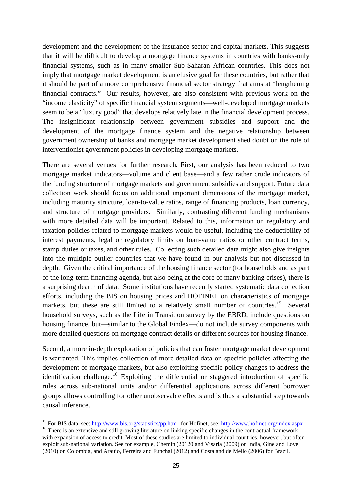development and the development of the insurance sector and capital markets. This suggests that it will be difficult to develop a mortgage finance systems in countries with banks-only financial systems, such as in many smaller Sub-Saharan African countries. This does not imply that mortgage market development is an elusive goal for these countries, but rather that it should be part of a more comprehensive financial sector strategy that aims at "lengthening financial contracts." Our results, however, are also consistent with previous work on the "income elasticity" of specific financial system segments—well-developed mortgage markets seem to be a "luxury good" that develops relatively late in the financial development process. The insignificant relationship between government subsidies and support and the development of the mortgage finance system and the negative relationship between government ownership of banks and mortgage market development shed doubt on the role of interventionist government policies in developing mortgage markets.

There are several venues for further research. First, our analysis has been reduced to two mortgage market indicators—volume and client base—and a few rather crude indicators of the funding structure of mortgage markets and government subsidies and support. Future data collection work should focus on additional important dimensions of the mortgage market, including maturity structure, loan-to-value ratios, range of financing products, loan currency, and structure of mortgage providers. Similarly, contrasting different funding mechanisms with more detailed data will be important. Related to this, information on regulatory and taxation policies related to mortgage markets would be useful, including the deductibility of interest payments, legal or regulatory limits on loan-value ratios or other contract terms, stamp duties or taxes, and other rules. Collecting such detailed data might also give insights into the multiple outlier countries that we have found in our analysis but not discussed in depth. Given the critical importance of the housing finance sector (for households and as part of the long-term financing agenda, but also being at the core of many banking crises), there is a surprising dearth of data. Some institutions have recently started systematic data collection efforts, including the BIS on housing prices and HOFINET on characteristics of mortgage markets, but these are still limited to a relatively small number of countries.<sup>[15](#page-26-0)</sup> Several household surveys, such as the Life in Transition survey by the EBRD, include questions on housing finance, but—similar to the Global Findex—do not include survey components with more detailed questions on mortgage contract details or different sources for housing finance.

Second, a more in-depth exploration of policies that can foster mortgage market development is warranted. This implies collection of more detailed data on specific policies affecting the development of mortgage markets, but also exploiting specific policy changes to address the identification challenge.<sup>[16](#page-26-1)</sup> Exploiting the differential or staggered introduction of specific rules across sub-national units and/or differential applications across different borrower groups allows controlling for other unobservable effects and is thus a substantial step towards causal inference.

<span id="page-26-0"></span><sup>&</sup>lt;sup>15</sup> For BIS data, see:  $\frac{http://www.bis.org/statistics/pp.htm}{http://www.bofinet.org/index.argv}$  for Hofinet, see:  $\frac{http://www.hofinet.org/index.argv}{http://www.hofinet.org/index.argv}$ 

<span id="page-26-1"></span>with expansion of access to credit. Most of these studies are limited to individual countries, however, but often exploit sub-national variation. See for example, Chemin (20120 and Visaria (2009) on India, Gine and Love (2010) on Colombia, and Araujo, Ferreira and Funchal (2012) and Costa and de Mello (2006) for Brazil.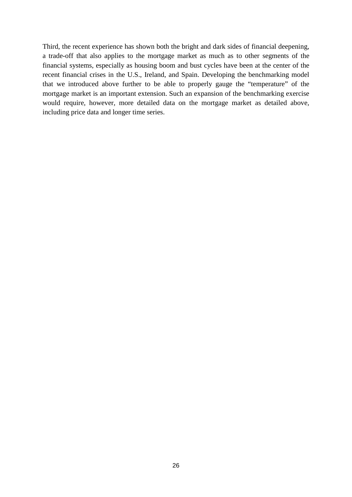Third, the recent experience has shown both the bright and dark sides of financial deepening, a trade-off that also applies to the mortgage market as much as to other segments of the financial systems, especially as housing boom and bust cycles have been at the center of the recent financial crises in the U.S., Ireland, and Spain. Developing the benchmarking model that we introduced above further to be able to properly gauge the "temperature" of the mortgage market is an important extension. Such an expansion of the benchmarking exercise would require, however, more detailed data on the mortgage market as detailed above, including price data and longer time series.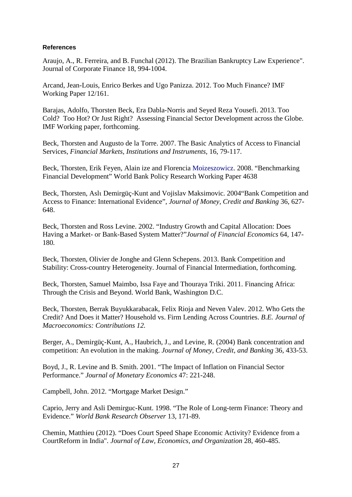# **References**

Araujo, A., R. Ferreira, and B. Funchal (2012). The Brazilian Bankruptcy Law Experience". Journal of Corporate Finance 18, 994-1004.

Arcand, Jean-Louis, Enrico Berkes and Ugo Panizza. 2012. Too Much Finance? IMF Working Paper 12/161.

Barajas, Adolfo, Thorsten Beck, Era Dabla-Norris and Seyed Reza Yousefi. 2013. Too Cold? Too Hot? Or Just Right? Assessing Financial Sector Development across the Globe. IMF Working paper, forthcoming.

Beck, Thorsten and Augusto de la Torre. 2007. The Basic Analytics of Access to Financial Services, *Financial Markets, Institutions and Instruments*, 16, 79-117.

Beck, Thorsten, Erik Feyen, Alain ize and Florencia Moizeszowicz. 2008. "Benchmarking Financial Development" World Bank Policy Research Working Paper 4638

Beck, Thorsten, Aslι Demirgüç-Kunt and Vojislav Maksimovic. 2004"Bank Competition and Access to Finance: International Evidence", *Journal of Money, Credit and Banking* 36, 627- 648.

Beck, Thorsten and Ross Levine. 2002. "Industry Growth and Capital Allocation: Does Having a Market- or Bank-Based System Matter?"*Journal of Financial Economics* 64*,* 147- 180*.*

Beck, Thorsten, Olivier de Jonghe and Glenn Schepens. 2013. Bank Competition and Stability: Cross-country Heterogeneity. Journal of Financial Intermediation, forthcoming.

Beck, Thorsten, Samuel Maimbo, Issa Faye and Thouraya Triki. 2011. Financing Africa: Through the Crisis and Beyond. World Bank, Washington D.C.

Beck, Thorsten, Berrak Buyukkarabacak, Felix Rioja and Neven Valev. 2012. Who Gets the Credit? And Does it Matter? Household vs. Firm Lending Across Countries. *B.E. Journal of Macroeconomics: Contributions 12.*

Berger, A., Demirgüç-Kunt, A., Haubrich, J., and Levine, R. (2004) Bank concentration and competition: An evolution in the making. *Journal of Money, Credit, and Banking* 36, 433-53.

Boyd, J., R. Levine and B. Smith. 2001. "The Impact of Inflation on Financial Sector Performance." *Journal of Monetary Economics* 47: 221-248.

Campbell, John. 2012. "Mortgage Market Design."

Caprio, Jerry and Asli Demirguc-Kunt. 1998. "The Role of Long-term Finance: Theory and Evidence." *World Bank Research Observer* 13, 171-89.

Chemin, Matthieu (2012). "Does Court Speed Shape Economic Activity? Evidence from a CourtReform in India". *Journal of Law, Economics, and Organization* 28, 460-485.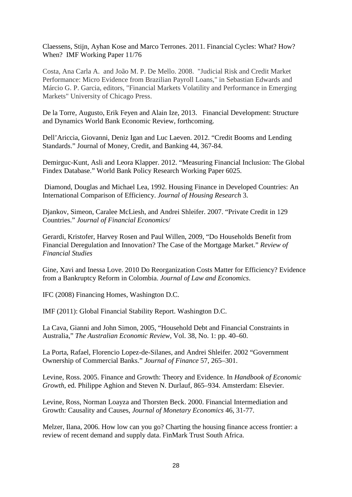Claessens, Stijn, Ayhan Kose and Marco Terrones. 2011. Financial Cycles: What? How? When? IMF Working Paper 11/76

Costa, Ana Carla A. and João M. P. De Mello. 2008. "Judicial Risk and Credit Market Performance: Micro Evidence from Brazilian Payroll Loans," in Sebastian Edwards and Márcio G. P. Garcia, editors, "Financial Markets Volatility and Performance in Emerging Markets" University of Chicago Press.

De la Torre, Augusto, Erik Feyen and Alain Ize, 2013. Financial Development: Structure and Dynamics World Bank Economic Review, forthcoming.

Dell'Ariccia, Giovanni, Deniz Igan and Luc Laeven. 2012. "Credit Booms and Lending Standards." Journal of Money, Credit, and Banking 44, 367-84.

Demirguc-Kunt, Asli and Leora Klapper. 2012. "Measuring Financial Inclusion: The Global Findex Database." World Bank Policy Research Working Paper 6025.

Diamond, Douglas and Michael Lea, 1992. Housing Finance in Developed Countries: An International Comparison of Efficiency. *Journal of Housing Research* 3.

Djankov, Simeon, Caralee McLiesh, and Andrei Shleifer. 2007. "Private Credit in 129 Countries." *Journal of Financial Economics*/

Gerardi, Kristofer, Harvey Rosen and Paul Willen, 2009, "Do Households Benefit from Financial Deregulation and Innovation? The Case of the Mortgage Market." *Review of Financial Studies*

Gine, Xavi and Inessa Love. 2010 Do Reorganization Costs Matter for Efficiency? Evidence from a Bankruptcy Reform in Colombia. *Journal of Law and Economics*.

IFC (2008) Financing Homes, Washington D.C.

IMF (2011): Global Financial Stability Report. Washington D.C.

La Cava, Gianni and John Simon, 2005, "Household Debt and Financial Constraints in Australia," *The Australian Economic Review*, Vol. 38, No. 1: pp. 40–60.

La Porta, Rafael, Florencio Lopez-de-Silanes, and Andrei Shleifer. 2002 "Government Ownership of Commercial Banks." *Journal of Finance* 57, 265–301.

Levine, Ross. 2005. Finance and Growth: Theory and Evidence. In *Handbook of Economic Growth*, ed. Philippe Aghion and Steven N. Durlauf, 865–934. Amsterdam: Elsevier.

Levine, Ross, Norman Loayza and Thorsten Beck. 2000. Financial Intermediation and Growth: Causality and Causes, *Journal of Monetary Economics* 46, 31-77.

Melzer, Ilana, 2006. How low can you go? Charting the housing finance access frontier: a review of recent demand and supply data. FinMark Trust South Africa.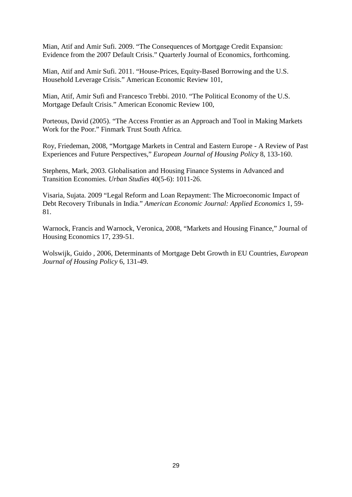Mian, Atif and Amir Sufi. 2009. "The Consequences of Mortgage Credit Expansion: Evidence from the 2007 Default Crisis." Quarterly Journal of Economics, forthcoming.

Mian, Atif and Amir Sufi. 2011. "House-Prices, Equity-Based Borrowing and the U.S. Household Leverage Crisis." American Economic Review 101,

Mian, Atif, Amir Sufi and Francesco Trebbi. 2010. "The Political Economy of the U.S. Mortgage Default Crisis." American Economic Review 100,

Porteous, David (2005). "The Access Frontier as an Approach and Tool in Making Markets Work for the Poor." Finmark Trust South Africa.

Roy, Friedeman, 2008, "Mortgage Markets in Central and Eastern Europe - A Review of Past Experiences and Future Perspectives," *European Journal of Housing Policy* 8, 133-160.

Stephens, Mark, 2003. Globalisation and Housing Finance Systems in Advanced and Transition Economies. *Urban Studies* 40(5-6): 1011-26.

Visaria, Sujata. 2009 "Legal Reform and Loan Repayment: The Microeconomic Impact of Debt Recovery Tribunals in India." *American Economic Journal: Applied Economics* 1, 59- 81.

Warnock, Francis and Warnock, Veronica, 2008, "Markets and Housing Finance," Journal of Housing Economics 17, 239-51.

Wolswijk, Guido , 2006, Determinants of Mortgage Debt Growth in EU Countries, *European Journal of Housing Policy* 6, 131-49.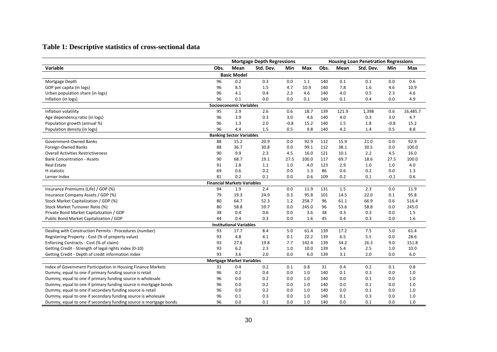# **Table 1: Descriptive statistics of cross-sectional data**

|                                                                   | <b>Mortgage Depth Regressions</b> |                                  |           |        | <b>Housing Loan Penetration Regressions</b> |      |       |           |            |          |
|-------------------------------------------------------------------|-----------------------------------|----------------------------------|-----------|--------|---------------------------------------------|------|-------|-----------|------------|----------|
| Variable                                                          | Obs.                              | Mean                             | Std. Dev. | Min    | Max                                         | Obs. | Mean  | Std. Dev. | <b>Min</b> | Max      |
|                                                                   |                                   | <b>Basic Model</b>               |           |        |                                             |      |       |           |            |          |
| Mortgage Depth                                                    | 96                                | 0.2                              | 0.3       | 0.0    | 1.1                                         | 140  | 0.1   | 0.1       | 0.0        | 0.6      |
| GDP per capita (in logs)                                          | 96                                | 8.5                              | 1.5       | 4.7    | 10.9                                        | 140  | 7.8   | 1.6       | 4.6        | 10.9     |
| Urban population share (in logs)                                  | 96                                | 4.1                              | 0.4       | 2.3    | 4.6                                         | 140  | 4.0   | 0.5       | 2.3        | 4.6      |
| Inflation (in logs)                                               | 96                                | 0.1                              | 0.0       | 0.0    | 0.1                                         | 140  | 0.1   | 0.4       | 0.0        | 4.9      |
|                                                                   |                                   | <b>Socioeconomic Variables</b>   |           |        |                                             |      |       |           |            |          |
| Inflation volatility                                              | 95                                | 2.9                              | 2.6       | 0.6    | 18.7                                        | 139  | 121.9 | 1,398     | 0.6        | 16,485.7 |
| Age dependency ratio (in logs)                                    | 96                                | 3.9                              | 0.3       | 3.0    | 4.6                                         | 140  | 4.0   | 0.3       | 3.0        | 4.7      |
| Population growth (annual %)                                      | 96                                | 1.3                              | 2.0       | $-0.8$ | 15.2                                        | 140  | 1.5   | 1.8       | $-0.8$     | 15.2     |
| Population density (in logs)                                      | 96                                | 4.4                              | 1.5       | 0.5    | 9.8                                         | 140  | 4.2   | 1.4       | 0.5        | 8.8      |
|                                                                   |                                   | <b>Banking Sector Variables</b>  |           |        |                                             |      |       |           |            |          |
| Government-Owned Banks                                            | 88                                | 15.2                             | 20.9      | 0.0    | 92.9                                        | 112  | 15.9  | 21.0      | 0.0        | 92.9     |
| Foreign-Owned Banks                                               | 88                                | 36.7                             | 30.8      | 0.0    | 99.1                                        | 112  | 38.1  | 30.5      | 0.0        | 100.0    |
| <b>Overall Activities Restrictiveness</b>                         | 90                                | 9.9                              | 2.3       | 4.5    | 16.0                                        | 121  | 10.1  | 2.2       | 4.5        | 16.0     |
| <b>Bank Concentration - Assets</b>                                | 90                                | 68.7                             | 19.1      | 27.5   | 100.0                                       | 117  | 69.7  | 18.6      | 27.5       | 100.0    |
| <b>Real Estate</b>                                                | 91                                | 2.8                              | 1.1       | 1.0    | 4.0                                         | 123  | 2.9   | 1.0       | 1.0        | 4.0      |
| H-statistic                                                       | 69                                | 0.6                              | 0.2       | 0.0    | 1.3                                         | 86   | 0.6   | 0.2       | 0.0        | 1.3      |
| Lerner Index                                                      | 81                                | 0.2                              | 0.1       | 0.0    | 0.6                                         | 109  | 0.2   | 0.1       | $-0.1$     | 0.6      |
| <b>Financial Markets Variables</b>                                |                                   |                                  |           |        |                                             |      |       |           |            |          |
| Insurance Premiums (Life) / GDP (%)                               | 94                                | 1.9                              | 2.4       | 0.0    | 11.9                                        | 131  | 1.5   | 2.3       | 0.0        | 11.9     |
| Insurance Company Assets / GDP (%)                                | 79                                | 19.3                             | 24.9      | 0.3    | 95.8                                        | 101  | 14.5  | 22.0      | 0.1        | 95.8     |
| Stock Market Capitalization / GDP (%)                             | 80                                | 64.7                             | 52.3      | 1.2    | 258.7                                       | 96   | 61.1  | 66.9      | 0.6        | 516.4    |
| Stock Market Turnover Ratio (%)                                   | 80                                | 58.8                             | 59.7      | 0.0    | 245.0                                       | 96   | 53.6  | 58.8      | 0.0        | 245.0    |
| Private Bond Market Capitalization / GDP                          | 38                                | 0.4                              | 0.6       | 0.0    | 3.6                                         | 38   | 0.3   | 0.3       | 0.0        | 1.5      |
| Public Bond Market Capitalization / GDP                           | 44                                | 0.4                              | 0.3       | 0.0    | 1.6                                         | 45   | 0.4   | 0.3       | $0.0\,$    | 1.6      |
|                                                                   |                                   | <b>Institutional Variables</b>   |           |        |                                             |      |       |           |            |          |
| Dealing with Construction Permits - Procedures (number)           | 93                                | 17.7                             | 8.4       | 5.0    | 61.4                                        | 139  | 17.2  | 7.5       | 5.0        | 61.4     |
| Registering Property - Cost (% of property value)                 | 93                                | 4.8                              | 4.1       | 0.1    | 22.2                                        | 139  | 6.5   | 5.5       | 0.0        | 28.6     |
| Enforcing Contracts - Cost (% of claim)                           | 93                                | 27.6                             | 19.8      | 7.7    | 142.4                                       | 139  | 34.2  | 26.3      | 9.0        | 151.8    |
| Getting Credit - Strength of legal rights index (0-10)            | 93                                | 6.2                              | 2.3       | 1.0    | 10.0                                        | 139  | 5.4   | 2.5       | 1.0        | 10.0     |
| Getting Credit - Depth of credit information index                | 93                                | 3.6                              | 2.0       | 0.0    | 6.0                                         | 139  | 3.1   | 2.0       | 0.0        | 6.0      |
|                                                                   |                                   | <b>Mortgage Market Variables</b> |           |        |                                             |      |       |           |            |          |
| Index of Government Participation in Housing Finance Markets      | 31                                | 0.4                              | 0.2       | 0.1    | 0.8                                         | 31   | 0.4   | 0.2       | 0.1        | 0.8      |
| Dummy, equal to one if primary funding source is retail           | 96                                | 0.2                              | 0.4       | 0.0    | $1.0\,$                                     | 140  | 0.1   | 0.3       | 0.0        | 1.0      |
| Dummy, equal to one if primary funding source is wholesale        | 96                                | 0.0                              | 0.2       | 0.0    | 1.0                                         | 140  | 0.0   | 0.1       | 0.0        | $1.0\,$  |
| Dummy, equal to one if primary funding source is mortgage bonds   | 96                                | 0.0                              | 0.2       | 0.0    | 1.0                                         | 140  | 0.0   | 0.1       | 0.0        | 1.0      |
| Dummy, equal to one if secondary funding source is retail         | 96                                | 0.0                              | 0.2       | 0.0    | 1.0                                         | 140  | 0.0   | 0.1       | 0.0        | 1.0      |
| Dummy, equal to one if secondary funding source is wholesale      | 96                                | 0.1                              | 0.3       | 0.0    | 1.0                                         | 140  | 0.1   | 0.3       | 0.0        | $1.0\,$  |
| Dummy, equal to one if secondary funding source is mortgage bonds | 96                                | 0.0                              | 0.1       | 0.0    | 1.0                                         | 140  | 0.0   | 0.1       | 0.0        | 1.0      |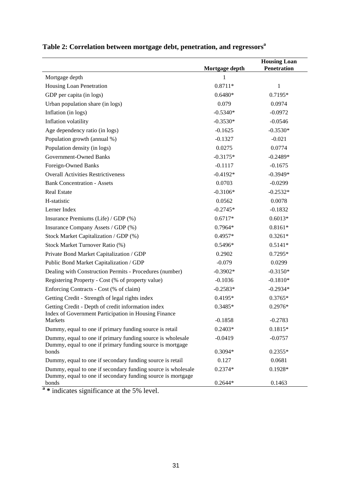|                                                                                                                                      | Mortgage depth         | <b>Housing Loan</b><br><b>Penetration</b> |
|--------------------------------------------------------------------------------------------------------------------------------------|------------------------|-------------------------------------------|
| Mortgage depth                                                                                                                       |                        |                                           |
| Housing Loan Penetration                                                                                                             | $0.8711*$              | 1                                         |
| GDP per capita (in logs)                                                                                                             | $0.6480*$              | 0.7195*                                   |
| Urban population share (in logs)                                                                                                     | 0.079                  | 0.0974                                    |
| Inflation (in logs)                                                                                                                  | $-0.5340*$             | $-0.0972$                                 |
| Inflation volatility                                                                                                                 | $-0.3530*$             | $-0.0546$                                 |
| Age dependency ratio (in logs)                                                                                                       | $-0.1625$              | $-0.3530*$                                |
| Population growth (annual %)                                                                                                         | $-0.1327$              | $-0.021$                                  |
| Population density (in logs)                                                                                                         | 0.0275                 | 0.0774                                    |
| Government-Owned Banks                                                                                                               | $-0.3175*$             | $-0.2489*$                                |
| Foreign-Owned Banks                                                                                                                  | $-0.1117$              | $-0.1675$                                 |
| <b>Overall Activities Restrictiveness</b>                                                                                            | $-0.4192*$             | $-0.3949*$                                |
| <b>Bank Concentration - Assets</b>                                                                                                   | 0.0703                 | $-0.0299$                                 |
| <b>Real Estate</b>                                                                                                                   | $-0.3106*$             | $-0.2532*$                                |
| H-statistic                                                                                                                          | 0.0562                 | 0.0078                                    |
| Lerner Index                                                                                                                         | $-0.2745*$             | $-0.1832$                                 |
| Insurance Premiums (Life) / GDP (%)                                                                                                  | $0.6717*$              | $0.6013*$                                 |
| Insurance Company Assets / GDP (%)                                                                                                   | $0.7964*$              | $0.8161*$                                 |
| Stock Market Capitalization / GDP (%)                                                                                                | $0.4957*$              | $0.3261*$                                 |
| Stock Market Turnover Ratio (%)                                                                                                      | $0.5496*$              | $0.5141*$                                 |
| Private Bond Market Capitalization / GDP                                                                                             | 0.2902                 | 0.7295*                                   |
| Public Bond Market Capitalization / GDP                                                                                              | $-0.079$               | 0.0299                                    |
| Dealing with Construction Permits - Procedures (number)                                                                              | $-0.3902*$             | $-0.3150*$                                |
| Registering Property - Cost (% of property value)                                                                                    | $-0.1036$              | $-0.1810*$                                |
| Enforcing Contracts - Cost (% of claim)                                                                                              | $-0.2583*$             | $-0.2934*$                                |
| Getting Credit - Strength of legal rights index                                                                                      | $0.4195*$              | $0.3765*$                                 |
| Getting Credit - Depth of credit information index<br>Index of Government Participation in Housing Finance                           | $0.3485*$              | 0.2976*                                   |
| Markets                                                                                                                              | $-0.1858$              | $-0.2783$                                 |
| Dummy, equal to one if primary funding source is retail                                                                              | $0.2403*$              | $0.1815*$                                 |
| Dummy, equal to one if primary funding source is wholesale<br>Dummy, equal to one if primary funding source is mortgage              | $-0.0419$              | $-0.0757$                                 |
| bonds                                                                                                                                | 0.3094*                | $0.2355*$                                 |
| Dummy, equal to one if secondary funding source is retail                                                                            | 0.127                  | 0.0681                                    |
| Dummy, equal to one if secondary funding source is wholesale<br>Dummy, equal to one if secondary funding source is mortgage<br>bonds | $0.2374*$<br>$0.2644*$ | $0.1928*$<br>0.1463                       |

# **Table 2: Correlation between mortgage debt, penetration, and regressors<sup>a</sup>**

 $\frac{1}{a}$  **a**  $\frac{1}{b}$  indicates significance at the 5% level.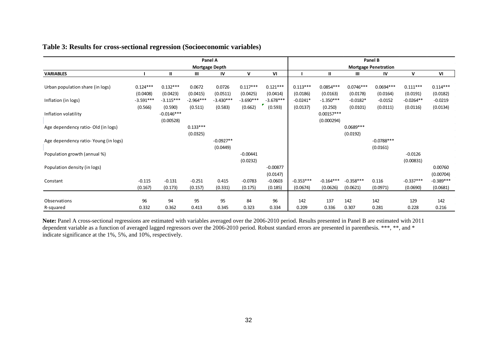| Panel A                              |             |              |                       |             |              |              |             |              |             | Panel B                     |              |             |
|--------------------------------------|-------------|--------------|-----------------------|-------------|--------------|--------------|-------------|--------------|-------------|-----------------------------|--------------|-------------|
|                                      |             |              | <b>Mortgage Depth</b> |             |              |              |             |              |             | <b>Mortgage Penetration</b> |              |             |
| <b>VARIABLES</b>                     |             | Ш            | Ш                     | IV          | $\mathsf{v}$ | VI           |             | $\mathbf{I}$ | Ш           | IV                          | $\mathsf{v}$ | VI          |
|                                      |             |              |                       |             |              |              |             |              |             |                             |              |             |
| Urban population share (in logs)     | $0.124***$  | $0.132***$   | 0.0672                | 0.0726      | $0.117***$   | $0.121***$   | $0.113***$  | $0.0854***$  | $0.0746***$ | $0.0694***$                 | $0.111***$   | $0.114***$  |
|                                      | (0.0408)    | (0.0423)     | (0.0415)              | (0.0511)    | (0.0425)     | (0.0414)     | (0.0186)    | (0.0163)     | (0.0178)    | (0.0164)                    | (0.0191)     | (0.0182)    |
| Inflation (in logs)                  | $-3.591***$ | $-3.115***$  | $-2.964***$           | $-3.430***$ | $-3.690***$  | $-3.678***$  | $-0.0241*$  | $-1.350***$  | $-0.0182*$  | $-0.0152$                   | $-0.0264**$  | $-0.0219$   |
|                                      | (0.566)     | (0.590)      | (0.511)               | (0.583)     | (0.662)      | п<br>(0.593) | (0.0137)    | (0.250)      | (0.0101)    | (0.0111)                    | (0.0116)     | (0.0134)    |
| Inflation volatility                 |             | $-0.0146***$ |                       |             |              |              |             | $0.00157***$ |             |                             |              |             |
|                                      |             | (0.00528)    |                       |             |              |              |             | (0.000294)   |             |                             |              |             |
| Age dependency ratio-Old (in logs)   |             |              | $0.133***$            |             |              |              |             |              | $0.0689***$ |                             |              |             |
|                                      |             |              | (0.0325)              |             |              |              |             |              | (0.0192)    |                             |              |             |
| Age dependency ratio-Young (in logs) |             |              |                       | $-0.0927**$ |              |              |             |              |             | $-0.0788***$                |              |             |
|                                      |             |              |                       | (0.0449)    |              |              |             |              |             | (0.0161)                    |              |             |
| Population growth (annual %)         |             |              |                       |             | $-0.00441$   |              |             |              |             |                             | $-0.0126$    |             |
|                                      |             |              |                       |             | (0.0232)     |              |             |              |             |                             | (0.00831)    |             |
| Population density (in logs)         |             |              |                       |             |              | $-0.00877$   |             |              |             |                             |              | 0.00760     |
|                                      |             |              |                       |             |              | (0.0147)     |             |              |             |                             |              | (0.00704)   |
| Constant                             | $-0.115$    | $-0.131$     | $-0.251$              | 0.415       | $-0.0783$    | $-0.0603$    | $-0.353***$ | $-0.164***$  | $-0.358***$ | 0.116                       | $-0.337***$  | $-0.389***$ |
|                                      | (0.167)     | (0.173)      | (0.157)               | (0.331)     | (0.175)      | (0.185)      | (0.0674)    | (0.0626)     | (0.0621)    | (0.0971)                    | (0.0690)     | (0.0681)    |
|                                      |             |              |                       |             |              |              |             |              |             |                             |              |             |
| Observations                         | 96          | 94           | 95                    | 95          | 84           | 96           | 142         | 137          | 142         | 142                         | 129          | 142         |
| R-squared                            | 0.332       | 0.362        | 0.413                 | 0.345       | 0.323        | 0.334        | 0.209       | 0.336        | 0.307       | 0.281                       | 0.228        | 0.216       |

# **Table 3: Results for cross-sectional regression (Socioeconomic variables)**

**Note:** Panel A cross-sectional regressions are estimated with variables averaged over the 2006-2010 period. Results presented in Panel B are estimated with 2011 dependent variable as a function of averaged lagged regressors over the 2006-2010 period. Robust standard errors are presented in parenthesis. \*\*\*, \*\*, and \* indicate significance at the 1%, 5%, and 10%, respectively.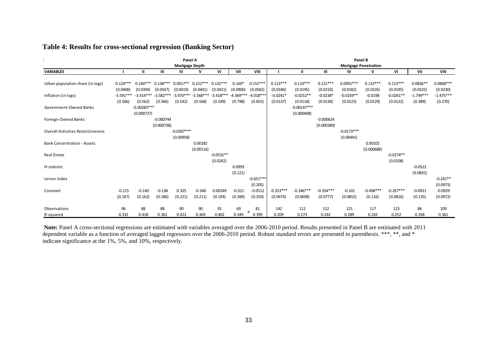# **Table 4: Results for cross-sectional regression (Banking Sector)**

|                                           | Panel A     |               |             |                       |                         |             |             | Panel B     |             |               |             |                             |             |             |             |             |
|-------------------------------------------|-------------|---------------|-------------|-----------------------|-------------------------|-------------|-------------|-------------|-------------|---------------|-------------|-----------------------------|-------------|-------------|-------------|-------------|
|                                           |             |               |             | <b>Mortgage Depth</b> |                         |             |             |             |             |               |             | <b>Mortgage Penetration</b> |             |             |             |             |
| <b>VARIABLES</b>                          |             | Ш.            | Ш           | IV                    | v                       | VI          | VII         | <b>VIII</b> |             | Ш.            | Ш           | IV                          | v           | VI          | VII         | <b>VIII</b> |
|                                           |             |               |             |                       |                         |             |             |             |             |               |             |                             |             |             |             |             |
| Urban population share (in logs)          | $0.124***$  | $0.140***$    | $0.138***$  | $0.0917**$            | $0.151***$              | $0.132***$  | $0.169*$    | $0.155***$  | $0.113***$  | $0.119***$    | $0.121***$  | $0.0955***$                 | $0.133***$  | $0.113***$  | $0.0836**$  | $0.0868***$ |
|                                           | (0.0408)    | (0.0394)      | (0.0437)    | (0.0419)              | (0.0441)                | (0.0421)    | (0.0906)    | (0.0582)    | (0.0186)    | (0.0195)      | (0.0210)    | (0.0182)                    | (0.0226)    | (0.0195)    | (0.0325)    | (0.0230)    |
| Inflation (in logs)                       | $-3.591***$ | $-3.414***$   | $-3.582***$ |                       | $-3.470***$ $-3.568***$ | $-3.418***$ | $-4.369***$ | $-4.018***$ | $-0.0241*$  | $-0.0252**$   | $-0.0238*$  | $-0.0259**$                 | $-0.0198$   | $-0.0261**$ | $-1.799***$ | $-1.475***$ |
|                                           | (0.566)     | (0.562)       | (0.566)     | (0.542)               | (0.568)                 | (0.549)     | (0.798)     | (0.655)     | (0.0137)    | (0.0118)      | (0.0130)    | (0.0123)                    | (0.0129)    | (0.0122)    | (0.389)     | (0.270)     |
| Government-Owned Banks                    |             | $-0.00283***$ |             |                       |                         |             |             |             |             | $-0.00147***$ |             |                             |             |             |             |             |
|                                           |             | (0.000737)    |             |                       |                         |             |             |             |             | (0.000408)    |             |                             |             |             |             |             |
| Foreign-Owned Banks                       |             |               | $-0.000744$ |                       |                         |             |             |             |             |               | $-0.000624$ |                             |             |             |             |             |
|                                           |             |               | (0.000738)  |                       |                         |             |             |             |             |               | (0.000389)  |                             |             |             |             |             |
| <b>Overall Activities Restrictiveness</b> |             |               |             | $-0.0307***$          |                         |             |             |             |             |               |             | $-0.0173***$                |             |             |             |             |
|                                           |             |               |             | (0.00958)             |                         |             |             |             |             |               |             | (0.00441)                   |             |             |             |             |
| <b>Bank Concentration - Assets</b>        |             |               |             |                       | 0.00182                 |             |             |             |             |               |             |                             | 0.00102     |             |             |             |
|                                           |             |               |             |                       | (0.00116)               |             |             |             |             |               |             |                             | (0.000688)  |             |             |             |
| <b>Real Estate</b>                        |             |               |             |                       |                         | $-0.0531**$ |             |             |             |               |             |                             |             | $-0.0274**$ |             |             |
|                                           |             |               |             |                       |                         | (0.0242)    |             |             |             |               |             |                             |             | (0.0108)    |             |             |
| H-statistic                               |             |               |             |                       |                         |             | 0.0993      |             |             |               |             |                             |             |             | $-0.0522$   |             |
|                                           |             |               |             |                       |                         |             | (0.121)     |             |             |               |             |                             |             |             | (0.0835)    |             |
| Lerner Index                              |             |               |             |                       |                         |             |             | $-0.651***$ |             |               |             |                             |             |             |             | $-0.241**$  |
|                                           |             |               |             |                       |                         |             |             | (0.205)     |             |               |             |                             |             |             |             | (0.0973)    |
| Constant                                  | $-0.115$    | $-0.140$      | $-0.138$    | 0.325                 | $-0.348$                | 0.00249     | $-0.321$    | $-0.0512$   | $-0.353***$ | $-0.346***$   | $-0.354***$ | $-0.101$                    | $-0.498***$ | $-0.267***$ | $-0.0921$   | $-0.0929$   |
|                                           | (0.167)     | (0.162)       | (0.186)     | (0.221)               | (0.211)                 | (0.193)     | (0.389)     | (0.250)     | (0.0674)    | (0.0698)      | (0.0777)    | (0.0852)                    | (0.116)     | (0.0816)    | (0.135)     | (0.0972)    |
|                                           |             |               |             |                       |                         |             |             |             |             |               |             |                             |             |             |             |             |
| Observations                              | 96          | 88            | 88          | 90                    | 90                      | 91          | 69          | 81          | 142         | 112           | 112         | 121                         | 117         | 123         | 86          | 109         |
| R-squared                                 | 0.332       | 0.418         | 0.361       | 0.422                 | 0.369                   | 0.402       | 0.349       | 0.399       | 0.209       | 0.273         | 0.242       | 0.289                       | 0.242       | 0.252       | 0.358       | 0.361       |

**Note:** Panel A cross-sectional regressions are estimated with variables averaged over the 2006-2010 period. Results presented in Panel B are estimated with 2011 dependent variable as a function of averaged lagged regressors over the 2006-2010 period. Robust standard errors are presented in parenthesis. \*\*\*, \*\*, and \* indicate significance at the 1%, 5%, and 10%, respectively.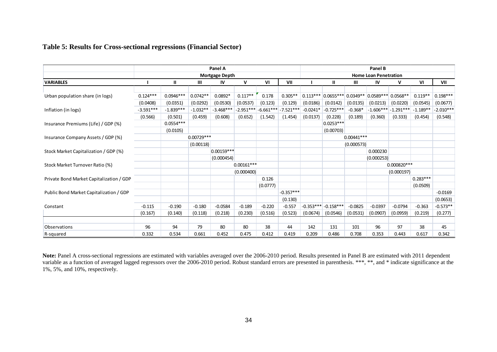|                                          |             | Panel A      |            |                       |              |             |             |             |              | Panel B    |                              |               |            |             |  |
|------------------------------------------|-------------|--------------|------------|-----------------------|--------------|-------------|-------------|-------------|--------------|------------|------------------------------|---------------|------------|-------------|--|
|                                          |             |              |            | <b>Mortgage Depth</b> |              |             |             |             |              |            | <b>Home Loan Penetration</b> |               |            |             |  |
| <b>VARIABLES</b>                         |             | Ш            | III        | IV                    | $\mathsf{v}$ | VI          | VII         |             | ш            | Ш          | IV                           | v             | VI         | VII         |  |
|                                          |             |              |            |                       |              |             |             |             |              |            |                              |               |            |             |  |
| Urban population share (in logs)         | $0.124***$  | $0.0946***$  | $0.0742**$ | $0.0892*$             | $0.117**$    | 0.178       | $0.305**$   | $0.113***$  | $0.0655***$  | $0.0349**$ | 0.0589***                    | $0.0568**$    | $0.119**$  | $0.198***$  |  |
|                                          | (0.0408)    | (0.0351)     | (0.0292)   | (0.0530)              | (0.0537)     | (0.123)     | (0.129)     | (0.0186)    | (0.0142)     | (0.0135)   | (0.0213)                     | (0.0220)      | (0.0545)   | (0.0677)    |  |
| Inflation (in logs)                      | $-3.591***$ | $-1.839***$  | $-1.032**$ | $-3.468***$           | $-2.951***$  | $-6.661***$ | $-7.521***$ | $-0.0241*$  | $-0.725***$  | $-0.368*$  | $-1.606***$                  | $-1.291***$   | $-1.189**$ | $-2.010***$ |  |
|                                          | (0.566)     | (0.501)      | (0.459)    | (0.608)               | (0.652)      | (1.542)     | (1.454)     | (0.0137)    | (0.228)      | (0.189)    | (0.360)                      | (0.333)       | (0.454)    | (0.548)     |  |
| Insurance Premiums (Life) / GDP (%)      |             | $0.0554***$  |            |                       |              |             |             |             | $0.0253***$  |            |                              |               |            |             |  |
|                                          |             | (0.0105)     |            |                       |              |             |             |             | (0.00703)    |            |                              |               |            |             |  |
| Insurance Company Assets / GDP (%)       |             | $0.00729***$ |            |                       |              |             |             |             | $0.00441***$ |            |                              |               |            |             |  |
|                                          |             |              | (0.00118)  |                       |              |             |             |             |              | (0.000573) |                              |               |            |             |  |
| Stock Market Capitalization / GDP (%)    |             |              |            | $0.00159***$          |              |             |             |             |              |            | 0.000230                     |               |            |             |  |
|                                          |             |              |            | (0.000454)            |              |             |             |             |              |            | (0.000253)                   |               |            |             |  |
| Stock Market Turnover Ratio (%)          |             |              |            |                       | $0.00161***$ |             |             |             |              |            |                              | $0.000820***$ |            |             |  |
|                                          |             |              |            |                       | (0.000400)   |             |             |             |              |            |                              | (0.000197)    |            |             |  |
| Private Bond Market Capitalization / GDP |             |              |            |                       |              | 0.126       |             |             |              |            |                              |               | $0.283***$ |             |  |
|                                          |             |              |            |                       |              | (0.0777)    |             |             |              |            |                              |               | (0.0509)   |             |  |
| Public Bond Market Capitalization / GDP  |             |              |            |                       |              |             | $-0.357***$ |             |              |            |                              |               |            | $-0.0169$   |  |
|                                          |             |              |            |                       |              |             | (0.130)     |             |              |            |                              |               |            | (0.0653)    |  |
| Constant                                 | $-0.115$    | $-0.190$     | $-0.180$   | $-0.0584$             | $-0.189$     | $-0.220$    | $-0.557$    | $-0.353***$ | $-0.158***$  | $-0.0825$  | $-0.0397$                    | $-0.0794$     | $-0.363$   | $-0.573**$  |  |
|                                          | (0.167)     | (0.140)      | (0.118)    | (0.218)               | (0.230)      | (0.516)     | (0.523)     | (0.0674)    | (0.0546)     | (0.0531)   | (0.0907)                     | (0.0959)      | (0.219)    | (0.277)     |  |
|                                          |             |              |            |                       |              |             |             |             |              |            |                              |               |            |             |  |
| Observations                             | 96          | 94           | 79         | 80                    | 80           | 38          | 44          | 142         | 131          | 101        | 96                           | 97            | 38         | 45          |  |
| R-squared                                | 0.332       | 0.534        | 0.661      | 0.452                 | 0.475        | 0.412       | 0.419       | 0.209       | 0.486        | 0.708      | 0.353                        | 0.443         | 0.617      | 0.342       |  |

# **Table 5: Results for Cross-sectional regressions (Financial Sector)**

**Note:** Panel A cross-sectional regressions are estimated with variables averaged over the 2006-2010 period. Results presented in Panel B are estimated with 2011 dependent variable as a function of averaged lagged regressors over the 2006-2010 period. Robust standard errors are presented in parenthesis. \*\*\*, \*\*, and \* indicate significance at the 1%, 5%, and 10%, respectively.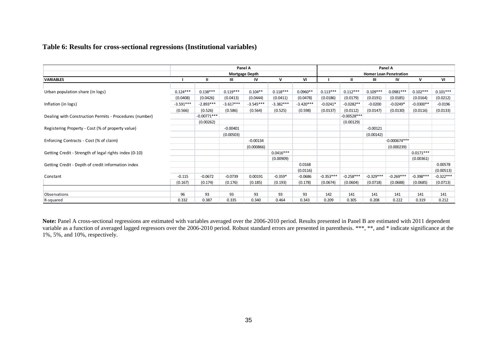# **Table 6: Results for cross-sectional regressions (Institutional variables)**

|                                                         |             |               | Panel A     |                       |              |             |             |               |             |                               |             |             |
|---------------------------------------------------------|-------------|---------------|-------------|-----------------------|--------------|-------------|-------------|---------------|-------------|-------------------------------|-------------|-------------|
|                                                         |             |               |             | <b>Mortgage Depth</b> |              |             |             |               |             | <b>Homer Loan Penetration</b> |             |             |
| <b>VARIABLES</b>                                        |             | $\mathbf{u}$  | Ш           | IV                    | $\mathsf{v}$ | VI          |             | $\mathbf{u}$  | Ш           | IV                            | v           | VI          |
|                                                         |             |               |             |                       |              |             |             |               |             |                               |             |             |
| Urban population share (in logs)                        | $0.124***$  | $0.138***$    | $0.119***$  | $0.104**$             | $0.118***$   | $0.0960**$  | $0.113***$  | $0.112***$    | $0.109***$  | $0.0981***$                   | $0.102***$  | $0.101***$  |
|                                                         | (0.0408)    | (0.0426)      | (0.0413)    | (0.0444)              | (0.0411)     | (0.0478)    | (0.0186)    | (0.0179)      | (0.0191)    | (0.0185)                      | (0.0164)    | (0.0212)    |
| Inflation (in logs)                                     | $-3.591***$ | $-2.893***$   | $-3.617***$ | $-3.545***$           | $-3.382***$  | $-3.420***$ | $-0.0241*$  | $-0.0282**$   | $-0.0200$   | $-0.0249*$                    | $-0.0300**$ | $-0.0196$   |
|                                                         | (0.566)     | (0.526)       | (0.586)     | (0.564)               | (0.525)      | (0.598)     | (0.0137)    | (0.0112)      | (0.0147)    | (0.0130)                      | (0.0116)    | (0.0133)    |
| Dealing with Construction Permits - Procedures (number) |             | $-0.00771***$ |             |                       |              |             |             | $-0.00528***$ |             |                               |             |             |
|                                                         |             | (0.00262)     |             |                       |              |             |             | (0.00129)     |             |                               |             |             |
| Registering Property - Cost (% of property value)       |             |               | $-0.00401$  |                       |              |             |             |               | $-0.00121$  |                               |             |             |
|                                                         |             |               | (0.00503)   |                       |              |             |             |               | (0.00142)   |                               |             |             |
| Enforcing Contracts - Cost (% of claim)                 |             |               |             | $-0.00134$            |              |             |             |               |             | $-0.000674***$                |             |             |
|                                                         |             |               |             | (0.000866)            |              |             |             |               |             | (0.000239)                    |             |             |
| Getting Credit - Strength of legal rights index (0-10)  |             |               |             |                       | $0.0416***$  |             |             |               |             |                               | $0.0171***$ |             |
|                                                         |             |               |             |                       | (0.00909)    |             |             |               |             |                               | (0.00361)   |             |
| Getting Credit - Depth of credit information index      |             |               |             |                       |              | 0.0168      |             |               |             |                               |             | 0.00578     |
|                                                         |             |               |             |                       |              | (0.0116)    |             |               |             |                               |             | (0.00513)   |
| Constant                                                | $-0.115$    | $-0.0672$     | $-0.0739$   | 0.00191               | $-0.359*$    | $-0.0686$   | $-0.353***$ | $-0.258***$   | $-0.329***$ | $-0.269***$                   | $-0.398***$ | $-0.322***$ |
|                                                         | (0.167)     | (0.174)       | (0.176)     | (0.185)               | (0.193)      | (0.178)     | (0.0674)    | (0.0604)      | (0.0718)    | (0.0688)                      | (0.0685)    | (0.0713)    |
|                                                         |             |               |             |                       |              |             |             |               |             |                               |             |             |
| Observations                                            | 96          | 93            | 93          | 93                    | 93           | 93          | 142         | 141           | 141         | 141                           | 141         | 141         |
| R-squared                                               | 0.332       | 0.387         | 0.335       | 0.340                 | 0.464        | 0.343       | 0.209       | 0.305         | 0.208       | 0.222                         | 0.319       | 0.212       |

**Note:** Panel A cross-sectional regressions are estimated with variables averaged over the 2006-2010 period. Results presented in Panel B are estimated with 2011 dependent variable as a function of averaged lagged regressors over the 2006-2010 period. Robust standard errors are presented in parenthesis. \*\*\*, \*\*, and \* indicate significance at the 1%, 5%, and 10%, respectively.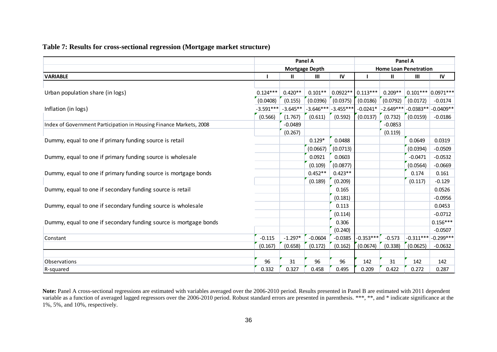# **Table 7: Results for cross-sectional regression (Mortgage market structure)**

|                                                                    |             |            | Panel A               |             | Panel A     |             |                              |                      |  |
|--------------------------------------------------------------------|-------------|------------|-----------------------|-------------|-------------|-------------|------------------------------|----------------------|--|
|                                                                    |             |            | <b>Mortgage Depth</b> |             |             |             | <b>Home Loan Penetration</b> |                      |  |
| <b>VARIABLE</b>                                                    |             | Ш          | Ш                     | IV          |             | Ш           | $\mathbf{III}$               | IV                   |  |
|                                                                    |             |            |                       |             |             |             |                              |                      |  |
| Urban population share (in logs)                                   | $0.124***$  | $0.420**$  | $0.101**$             | $0.0922**$  | $0.113***$  | $0.209**$   |                              | $0.101***$ 0.0971*** |  |
|                                                                    | (0.0408)    | (0.155)    | (0.0396)              | (0.0375)    | (0.0186)    | (0.0792)    | (0.0172)                     | $-0.0174$            |  |
| Inflation (in logs)                                                | $-3.591***$ | $-3.645**$ | $-3.646***$           | $-3.455***$ | $-0.0241*$  | $-2.649***$ | $-0.0383**$                  | $-0.0409**$          |  |
|                                                                    | (0.566)     | (1.767)    | (0.611)               | (0.592)     | (0.0137)    | (0.732)     | (0.0159)                     | $-0.0186$            |  |
| Index of Government Participation in Housing Finance Markets, 2008 |             | $-0.0489$  |                       |             |             | $-0.0853$   |                              |                      |  |
|                                                                    |             | (0.267)    |                       |             |             | (0.119)     |                              |                      |  |
| Dummy, equal to one if primary funding source is retail            |             |            | $0.129*$              | 0.0488      |             |             | 0.0649                       | 0.0319               |  |
|                                                                    |             |            | (0.0667)              | (0.0713)    |             |             | (0.0394)                     | $-0.0509$            |  |
| Dummy, equal to one if primary funding source is wholesale         |             |            | 0.0921                | 0.0603      |             |             | $-0.0471$                    | $-0.0532$            |  |
|                                                                    |             |            | (0.109)               | (0.0877)    |             |             | (0.0564)                     | $-0.0669$            |  |
| Dummy, equal to one if primary funding source is mortgage bonds    |             |            | $0.452**$             | $0.423**$   |             |             | 0.174                        | 0.161                |  |
|                                                                    |             |            | (0.189)               | (0.209)     |             |             | (0.117)                      | $-0.129$             |  |
| Dummy, equal to one if secondary funding source is retail          |             |            |                       | 0.165       |             |             |                              | 0.0526               |  |
|                                                                    |             |            |                       | (0.181)     |             |             |                              | $-0.0956$            |  |
| Dummy, equal to one if secondary funding source is wholesale       |             |            |                       | 0.113       |             |             |                              | 0.0453               |  |
|                                                                    |             |            |                       | (0.114)     |             |             |                              | $-0.0712$            |  |
| Dummy, equal to one if secondary funding source is mortgage bonds  |             |            |                       | 0.306       |             |             |                              | $0.156***$           |  |
|                                                                    |             |            |                       | (0.240)     |             |             |                              | $-0.0507$            |  |
| Constant                                                           | $-0.115$    | $-1.297*$  | $-0.0604$             | $-0.0385$   | $-0.353***$ | $-0.573$    | $-0.311***$                  | $-0.299***$          |  |
|                                                                    | (0.167)     | (0.658)    | (0.172)               | (0.162)     | (0.0674)    | (0.338)     | (0.0625)                     | $-0.0632$            |  |
|                                                                    |             |            |                       |             |             |             |                              |                      |  |
| Observations                                                       | 96          | 31         | 96                    | 96          | 142         | 31          | 142                          | 142                  |  |
| R-squared                                                          | 0.332       | 0.327      | 0.458                 | 0.495       | 0.209       | 0.422       | 0.272                        | 0.287                |  |

**Note:** Panel A cross-sectional regressions are estimated with variables averaged over the 2006-2010 period. Results presented in Panel B are estimated with 2011 dependent variable as a function of averaged lagged regressors over the 2006-2010 period. Robust standard errors are presented in parenthesis. \*\*\*, \*\*, and \* indicate significance at the 1%, 5%, and 10%, respectively.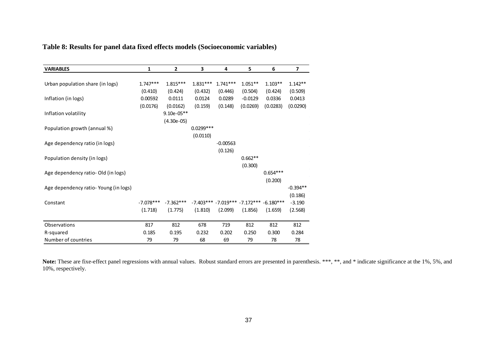| Table 8: Results for panel data fixed effects models (Socioeconomic variables) |  |  |  |  |  |
|--------------------------------------------------------------------------------|--|--|--|--|--|
|--------------------------------------------------------------------------------|--|--|--|--|--|

| <b>VARIABLES</b>                      | 1           | $\mathbf{2}$ | 3           | 4                                               | 5         | 6          | $\overline{\phantom{a}}$ |
|---------------------------------------|-------------|--------------|-------------|-------------------------------------------------|-----------|------------|--------------------------|
|                                       |             |              |             |                                                 |           |            |                          |
| Urban population share (in logs)      | $1.747***$  | $1.815***$   | $1.831***$  | $1.741***$                                      | $1.051**$ | $1.103**$  | $1.142**$                |
|                                       | (0.410)     | (0.424)      | (0.432)     | (0.446)                                         | (0.504)   | (0.424)    | (0.509)                  |
| Inflation (in logs)                   | 0.00592     | 0.0111       | 0.0124      | 0.0289                                          | $-0.0129$ | 0.0336     | 0.0413                   |
|                                       | (0.0176)    | (0.0162)     | (0.159)     | (0.148)                                         | (0.0269)  | (0.0283)   | (0.0290)                 |
| Inflation volatility                  |             | $9.10e-05**$ |             |                                                 |           |            |                          |
|                                       |             | $(4.30e-05)$ |             |                                                 |           |            |                          |
| Population growth (annual %)          |             |              | $0.0299***$ |                                                 |           |            |                          |
|                                       |             |              | (0.0110)    |                                                 |           |            |                          |
| Age dependency ratio (in logs)        |             |              |             | $-0.00563$                                      |           |            |                          |
|                                       |             |              |             | (0.126)                                         |           |            |                          |
| Population density (in logs)          |             |              |             |                                                 | $0.662**$ |            |                          |
|                                       |             |              |             |                                                 | (0.300)   |            |                          |
| Age dependency ratio- Old (in logs)   |             |              |             |                                                 |           | $0.654***$ |                          |
|                                       |             |              |             |                                                 |           | (0.200)    |                          |
| Age dependency ratio- Young (in logs) |             |              |             |                                                 |           |            | $-0.394**$               |
|                                       |             |              |             |                                                 |           |            | (0.186)                  |
| Constant                              | $-7.078***$ | $-7.362***$  |             | $-7.403***$ $-7.019***$ $-7.172***$ $-6.180***$ |           |            | $-3.190$                 |
|                                       | (1.718)     | (1.775)      | (1.810)     | (2.099)                                         | (1.856)   | (1.659)    | (2.568)                  |
|                                       |             |              |             |                                                 |           |            |                          |
| Observations                          | 817         | 812          | 678         | 719                                             | 812       | 812        | 812                      |
| R-squared                             | 0.185       | 0.195        | 0.232       | 0.202                                           | 0.250     | 0.300      | 0.284                    |
| Number of countries                   | 79          | 79           | 68          | 69                                              | 79        | 78         | 78                       |

Note: These are fixe-effect panel regressions with annual values. Robust standard errors are presented in parenthesis. \*\*\*, \*\*, and \* indicate significance at the 1%, 5%, and 10%, respectively.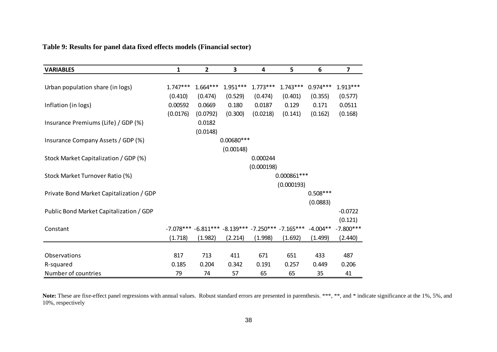| Table 9: Results for panel data fixed effects models (Financial sector) |  |
|-------------------------------------------------------------------------|--|
|-------------------------------------------------------------------------|--|

| <b>VARIABLES</b>                         | 1          | $\mathbf{2}$ | 3            | 4          | 5                                                           | 6          | $\overline{\mathbf{z}}$ |
|------------------------------------------|------------|--------------|--------------|------------|-------------------------------------------------------------|------------|-------------------------|
|                                          |            |              |              |            |                                                             |            |                         |
| Urban population share (in logs)         | $1.747***$ | $1.664***$   | $1.951***$   | $1.773***$ | $1.743***$                                                  | $0.974***$ | $1.913***$              |
|                                          | (0.410)    | (0.474)      | (0.529)      | (0.474)    | (0.401)                                                     | (0.355)    | (0.577)                 |
| Inflation (in logs)                      | 0.00592    | 0.0669       | 0.180        | 0.0187     | 0.129                                                       | 0.171      | 0.0511                  |
|                                          | (0.0176)   | (0.0792)     | (0.300)      | (0.0218)   | (0.141)                                                     | (0.162)    | (0.168)                 |
| Insurance Premiums (Life) / GDP (%)      |            | 0.0182       |              |            |                                                             |            |                         |
|                                          |            | (0.0148)     |              |            |                                                             |            |                         |
| Insurance Company Assets / GDP (%)       |            |              | $0.00680***$ |            |                                                             |            |                         |
|                                          |            |              | (0.00148)    |            |                                                             |            |                         |
| Stock Market Capitalization / GDP (%)    |            |              |              | 0.000244   |                                                             |            |                         |
|                                          |            |              |              | (0.000198) |                                                             |            |                         |
| Stock Market Turnover Ratio (%)          |            |              |              |            | $0.000861***$                                               |            |                         |
|                                          |            |              |              |            | (0.000193)                                                  |            |                         |
| Private Bond Market Capitalization / GDP |            |              |              |            |                                                             | $0.508***$ |                         |
|                                          |            |              |              |            |                                                             | (0.0883)   |                         |
| Public Bond Market Capitalization / GDP  |            |              |              |            |                                                             |            | $-0.0722$               |
|                                          |            |              |              |            |                                                             |            | (0.121)                 |
| Constant                                 |            |              |              |            | $-7.078***$ $-6.811***$ $-8.139***$ $-7.250***$ $-7.165***$ | $-4.004**$ | $-7.800***$             |
|                                          | (1.718)    | (1.982)      | (2.214)      | (1.998)    | (1.692)                                                     | (1.499)    | (2.440)                 |
|                                          |            |              |              |            |                                                             |            |                         |
| Observations                             | 817        | 713          | 411          | 671        | 651                                                         | 433        | 487                     |
| R-squared                                | 0.185      | 0.204        | 0.342        | 0.191      | 0.257                                                       | 0.449      | 0.206                   |
| Number of countries                      | 79         | 74           | 57           | 65         | 65                                                          | 35         | 41                      |

Note: These are fixe-effect panel regressions with annual values. Robust standard errors are presented in parenthesis. \*\*\*, \*\*, and \* indicate significance at the 1%, 5%, and 10%, respectively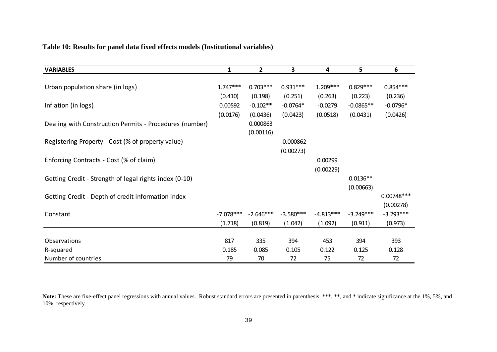| <b>VARIABLES</b>                                        | 1           | $\overline{2}$ | 3           | 4           | 5           | 6            |
|---------------------------------------------------------|-------------|----------------|-------------|-------------|-------------|--------------|
|                                                         |             |                |             |             |             |              |
| Urban population share (in logs)                        | $1.747***$  | $0.703***$     | $0.931***$  | $1.209***$  | $0.829***$  | $0.854***$   |
|                                                         | (0.410)     | (0.198)        | (0.251)     | (0.263)     | (0.223)     | (0.236)      |
| Inflation (in logs)                                     | 0.00592     | $-0.102**$     | $-0.0764*$  | $-0.0279$   | $-0.0865**$ | $-0.0796*$   |
|                                                         | (0.0176)    | (0.0436)       | (0.0423)    | (0.0518)    | (0.0431)    | (0.0426)     |
| Dealing with Construction Permits - Procedures (number) |             | 0.000863       |             |             |             |              |
|                                                         |             | (0.00116)      |             |             |             |              |
| Registering Property - Cost (% of property value)       |             |                | $-0.000862$ |             |             |              |
|                                                         |             |                | (0.00273)   |             |             |              |
| Enforcing Contracts - Cost (% of claim)                 |             |                |             | 0.00299     |             |              |
|                                                         |             |                |             | (0.00229)   |             |              |
| Getting Credit - Strength of legal rights index (0-10)  |             |                |             |             | $0.0136**$  |              |
|                                                         |             |                |             |             | (0.00663)   |              |
| Getting Credit - Depth of credit information index      |             |                |             |             |             | $0.00748***$ |
|                                                         |             |                |             |             |             | (0.00278)    |
| Constant                                                | $-7.078***$ | $-2.646***$    | $-3.580***$ | $-4.813***$ | $-3.249***$ | $-3.293***$  |
|                                                         | (1.718)     | (0.819)        | (1.042)     | (1.092)     | (0.911)     | (0.973)      |
|                                                         |             |                |             |             |             |              |
| Observations                                            | 817         | 335            | 394         | 453         | 394         | 393          |
| R-squared                                               | 0.185       | 0.085          | 0.105       | 0.122       | 0.125       | 0.128        |
| Number of countries                                     | 79          | 70             | 72          | 75          | 72          | 72           |

**Table 10: Results for panel data fixed effects models (Institutional variables)**

Note: These are fixe-effect panel regressions with annual values. Robust standard errors are presented in parenthesis. \*\*\*, \*\*, and \* indicate significance at the 1%, 5%, and 10%, respectively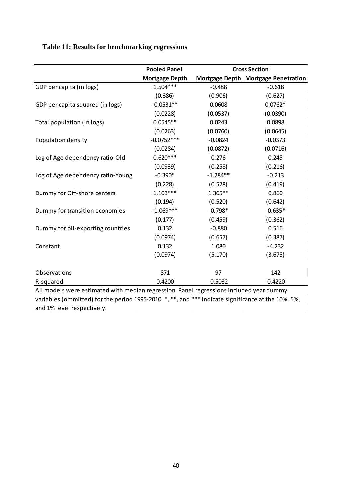# **Table 11: Results for benchmarking regressions**

|                                   | <b>Pooled Panel</b>   |            | <b>Cross Section</b>                |
|-----------------------------------|-----------------------|------------|-------------------------------------|
|                                   | <b>Mortgage Depth</b> |            | Mortgage Depth Mortgage Penetration |
| GDP per capita (in logs)          | $1.504***$            | $-0.488$   | $-0.618$                            |
|                                   | (0.386)               | (0.906)    | (0.627)                             |
| GDP per capita squared (in logs)  | $-0.0531**$           | 0.0608     | $0.0762*$                           |
|                                   | (0.0228)              | (0.0537)   | (0.0390)                            |
| Total population (in logs)        | $0.0545**$            | 0.0243     | 0.0898                              |
|                                   | (0.0263)              | (0.0760)   | (0.0645)                            |
| Population density                | $-0.0752***$          | $-0.0824$  | $-0.0373$                           |
|                                   | (0.0284)              | (0.0872)   | (0.0716)                            |
| Log of Age dependency ratio-Old   | $0.620***$            | 0.276      | 0.245                               |
|                                   | (0.0939)              | (0.258)    | (0.216)                             |
| Log of Age dependency ratio-Young | $-0.390*$             | $-1.284**$ | $-0.213$                            |
|                                   | (0.228)               | (0.528)    | (0.419)                             |
| Dummy for Off-shore centers       | $1.103***$            | $1.365**$  | 0.860                               |
|                                   | (0.194)               | (0.520)    | (0.642)                             |
| Dummy for transition economies    | $-1.069***$           | $-0.798*$  | $-0.635*$                           |
|                                   | (0.177)               | (0.459)    | (0.362)                             |
| Dummy for oil-exporting countries | 0.132                 | $-0.880$   | 0.516                               |
|                                   | (0.0974)              | (0.657)    | (0.387)                             |
| Constant                          | 0.132                 | 1.080      | $-4.232$                            |
|                                   | (0.0974)              | (5.170)    | (3.675)                             |
| Observations                      | 871                   | 97         | 142                                 |
| R-squared                         | 0.4200                | 0.5032     | 0.4220                              |

All models were estimated with median regression. Panel regressions included year dummy variables (ommitted) for the period 1995-2010. \*, \*\*, and \*\*\* indicate significance at the 10%, 5%, and 1% level respectively.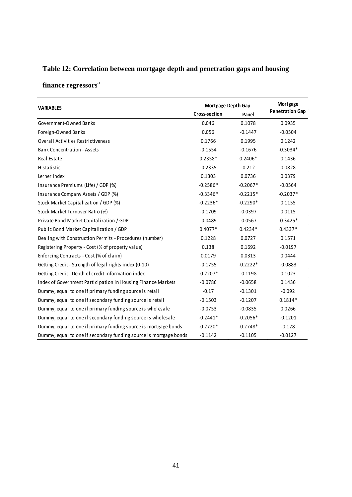# **Table 12: Correlation between mortgage depth and penetration gaps and housing**

# **finance regressors<sup>a</sup>**

| <b>VARIABLES</b>                                                  | Mortgage Depth Gap   | Mortgage   |                        |
|-------------------------------------------------------------------|----------------------|------------|------------------------|
|                                                                   | <b>Cross-section</b> | Panel      | <b>Penetration Gap</b> |
| Government-Owned Banks                                            | 0.046                | 0.1078     | 0.0935                 |
| Foreign-Owned Banks                                               | 0.056                | $-0.1447$  | $-0.0504$              |
| <b>Overall Activities Restrictiveness</b>                         | 0.1766               | 0.1995     | 0.1242                 |
| <b>Bank Concentration - Assets</b>                                | $-0.1554$            | $-0.1676$  | $-0.3034*$             |
| Real Estate                                                       | $0.2358*$            | $0.2406*$  | 0.1436                 |
| H-statistic                                                       | $-0.2335$            | $-0.212$   | 0.0828                 |
| Lerner Index                                                      | 0.1303               | 0.0736     | 0.0379                 |
| Insurance Premiums (Life) / GDP (%)                               | $-0.2586*$           | $-0.2067*$ | $-0.0564$              |
| Insurance Company Assets / GDP (%)                                | $-0.3346*$           | $-0.2215*$ | $-0.2037*$             |
| Stock Market Capitalization / GDP (%)                             | $-0.2236*$           | $-0.2290*$ | 0.1155                 |
| Stock Market Turnover Ratio (%)                                   | $-0.1709$            | $-0.0397$  | 0.0115                 |
| Private Bond Market Capitalization / GDP                          | $-0.0489$            | $-0.0567$  | $-0.3425*$             |
| Public Bond Market Capitalization / GDP                           | $0.4077*$            | $0.4234*$  | $0.4337*$              |
| Dealing with Construction Permits - Procedures (number)           | 0.1228               | 0.0727     | 0.1571                 |
| Registering Property - Cost (% of property value)                 | 0.138                | 0.1692     | $-0.0197$              |
| Enforcing Contracts - Cost (% of claim)                           | 0.0179               | 0.0313     | 0.0444                 |
| Getting Credit - Strength of legal rights index (0-10)            | $-0.1755$            | $-0.2222*$ | $-0.0883$              |
| Getting Credit - Depth of credit information index                | $-0.2207*$           | $-0.1198$  | 0.1023                 |
| Index of Government Participation in Housing Finance Markets      | $-0.0786$            | $-0.0658$  | 0.1436                 |
| Dummy, equal to one if primary funding source is retail           | $-0.17$              | $-0.1301$  | $-0.092$               |
| Dummy, equal to one if secondary funding source is retail         | $-0.1503$            | $-0.1207$  | $0.1814*$              |
| Dummy, equal to one if primary funding source is wholesale        | $-0.0753$            | $-0.0835$  | 0.0266                 |
| Dummy, equal to one if secondary funding source is wholesale      | $-0.2441*$           | $-0.2056*$ | $-0.1201$              |
| Dummy, equal to one if primary funding source is mortgage bonds   | $-0.2720*$           | $-0.2748*$ | $-0.128$               |
| Dummy, equal to one if secondary funding source is mortgage bonds | $-0.1142$            | $-0.1105$  | $-0.0127$              |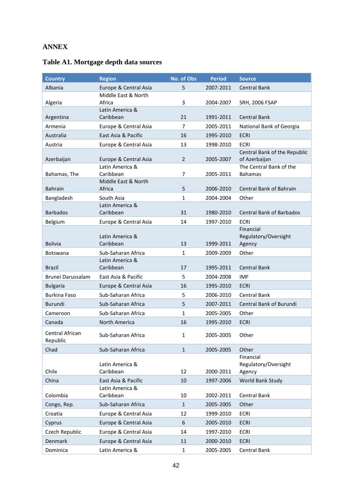# **ANNEX**

| <b>Country</b>              | <b>Region</b>                    | No. of Obs     | <b>Period</b> | <b>Source</b>                                 |
|-----------------------------|----------------------------------|----------------|---------------|-----------------------------------------------|
| Albania                     | Europe & Central Asia            | 5              | 2007-2011     | <b>Central Bank</b>                           |
|                             | Middle East & North              |                |               |                                               |
| Algeria                     | Africa<br>Latin America &        | 3              | 2004-2007     | <b>SRH, 2006 FSAP</b>                         |
| Argentina                   | Caribbean                        | 21             | 1991-2011     | <b>Central Bank</b>                           |
| Armenia                     | Europe & Central Asia            | 7              | 2005-2011     | National Bank of Georgia                      |
| Australia                   | East Asia & Pacific              | 16             | 1995-2010     | <b>ECRI</b>                                   |
| Austria                     | Europe & Central Asia            | 13             | 1998-2010     | <b>ECRI</b>                                   |
| Azerbaijan                  | Europe & Central Asia            | $\overline{2}$ | 2005-2007     | Central Bank of the Republic<br>of Azerbaijan |
|                             | Latin America &                  |                |               | The Central Bank of the                       |
| Bahamas, The                | Caribbean<br>Middle East & North | $\overline{7}$ | 2005-2011     | <b>Bahamas</b>                                |
| <b>Bahrain</b>              | Africa                           | 5              | 2006-2010     | Central Bank of Bahrain                       |
| Bangladesh                  | South Asia                       | $\mathbf{1}$   | 2004-2004     | Other                                         |
|                             | Latin America &                  |                |               |                                               |
| <b>Barbados</b>             | Caribbean                        | 31             | 1980-2010     | <b>Central Bank of Barbados</b>               |
| Belgium                     | Europe & Central Asia            | 14             | 1997-2010     | <b>ECRI</b>                                   |
| <b>Bolivia</b>              | Latin America &<br>Caribbean     | 13             | 1999-2011     | Financial<br>Regulatory/Oversight<br>Agency   |
| Botswana                    | Sub-Saharan Africa               | $\mathbf{1}$   | 2009-2009     | Other                                         |
|                             | Latin America &                  |                |               |                                               |
| Brazil                      | Caribbean                        | 17             | 1995-2011     | <b>Central Bank</b>                           |
| Brunei Darussalam           | East Asia & Pacific              | 5              | 2004-2008     | <b>IMF</b>                                    |
| <b>Bulgaria</b>             | Europe & Central Asia            | 16             | 1995-2010     | <b>ECRI</b>                                   |
| <b>Burkina Faso</b>         | Sub-Saharan Africa               | 5              | 2006-2010     | <b>Central Bank</b>                           |
| Burundi                     | Sub-Saharan Africa               | 5              | 2007-2011     | Central Bank of Burundi                       |
| Cameroon                    | Sub-Saharan Africa               | $\mathbf{1}$   | 2005-2005     | Other                                         |
| Canada                      | North America                    | 16             | 1995-2010     | <b>ECRI</b>                                   |
| Central African<br>Republic | Sub-Saharan Africa               | $\mathbf{1}$   | 2005-2005     | Other                                         |
| Chad                        | Sub-Saharan Africa               | $\mathbf{1}$   | 2005-2005     | Other                                         |
| Chile                       | Latin America &<br>Caribbean     | 12             | 2000-2011     | Financial<br>Regulatory/Oversight<br>Agency   |
| China                       | East Asia & Pacific              | 10             | 1997-2006     | World Bank Study                              |
|                             | Latin America &                  |                |               |                                               |
| Colombia                    | Caribbean                        | 10             | 2002-2011     | Central Bank                                  |
| Congo, Rep.                 | Sub-Saharan Africa               | $\mathbf{1}$   | 2005-2005     | Other                                         |
| Croatia                     | Europe & Central Asia            | 12             | 1999-2010     | <b>ECRI</b>                                   |
| Cyprus                      | Europe & Central Asia            | 6              | 2005-2010     | <b>ECRI</b>                                   |
| Czech Republic              | Europe & Central Asia            | 14             | 1997-2010     | <b>ECRI</b>                                   |
| Denmark                     | Europe & Central Asia            | 11             | 2000-2010     | <b>ECRI</b>                                   |
| Dominica                    | Latin America &                  | 1              | 2005-2005     | Central Bank                                  |

# **Table A1. Mortgage depth data sources**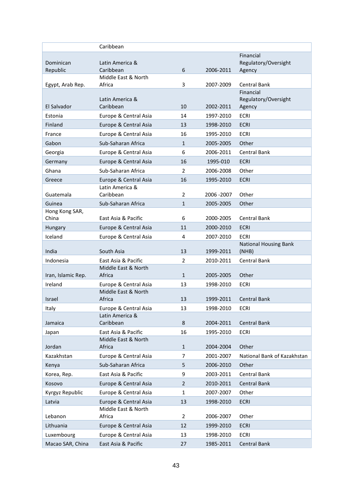|                         | Caribbean                     |                |             |                                             |
|-------------------------|-------------------------------|----------------|-------------|---------------------------------------------|
| Dominican<br>Republic   | Latin America &<br>Caribbean  | 6              | 2006-2011   | Financial<br>Regulatory/Oversight<br>Agency |
| Egypt, Arab Rep.        | Middle East & North<br>Africa | 3              | 2007-2009   | <b>Central Bank</b>                         |
| El Salvador             | Latin America &<br>Caribbean  | 10             | 2002-2011   | Financial<br>Regulatory/Oversight<br>Agency |
| Estonia                 | Europe & Central Asia         | 14             | 1997-2010   | <b>ECRI</b>                                 |
| Finland                 | Europe & Central Asia         | 13             | 1998-2010   | <b>ECRI</b>                                 |
| France                  | Europe & Central Asia         | 16             | 1995-2010   | <b>ECRI</b>                                 |
| Gabon                   | Sub-Saharan Africa            | $\mathbf{1}$   | 2005-2005   | Other                                       |
| Georgia                 | Europe & Central Asia         | 6              | 2006-2011   | <b>Central Bank</b>                         |
| Germany                 | Europe & Central Asia         | 16             | 1995-010    | <b>ECRI</b>                                 |
| Ghana                   | Sub-Saharan Africa            | $\overline{2}$ | 2006-2008   | Other                                       |
| Greece                  | Europe & Central Asia         | 16             | 1995-2010   | <b>ECRI</b>                                 |
| Guatemala               | Latin America &<br>Caribbean  | $\overline{2}$ | 2006 - 2007 | Other                                       |
| Guinea                  | Sub-Saharan Africa            | $\mathbf{1}$   | 2005-2005   | Other                                       |
| Hong Kong SAR,<br>China | East Asia & Pacific           | 6              | 2000-2005   | Central Bank                                |
| Hungary                 | Europe & Central Asia         | 11             | 2000-2010   | <b>ECRI</b>                                 |
| Iceland                 | Europe & Central Asia         | 4              | 2007-2010   | <b>ECRI</b>                                 |
| India                   | South Asia                    | 13             | 1999-2011   | <b>National Housing Bank</b><br>(NHB)       |
| Indonesia               | East Asia & Pacific           | $\overline{2}$ | 2010-2011   | <b>Central Bank</b>                         |
| Iran, Islamic Rep.      | Middle East & North<br>Africa | $\mathbf{1}$   | 2005-2005   | Other                                       |
| Ireland                 | Europe & Central Asia         | 13             | 1998-2010   | <b>ECRI</b>                                 |
| Israel                  | Middle East & North<br>Africa | 13             | 1999-2011   | <b>Central Bank</b>                         |
| Italy                   | Europe & Central Asia         | 13             | 1998-2010   | ECRI                                        |
| Jamaica                 | Latin America &<br>Caribbean  | 8              | 2004-2011   | Central Bank                                |
| Japan                   | East Asia & Pacific           | 16             | 1995-2010   | <b>ECRI</b>                                 |
| Jordan                  | Middle East & North<br>Africa | $\mathbf{1}$   | 2004-2004   | Other                                       |
| Kazakhstan              | Europe & Central Asia         | $\overline{7}$ | 2001-2007   | National Bank of Kazakhstan                 |
| Kenya                   | Sub-Saharan Africa            | 5              | 2006-2010   | Other                                       |
| Korea, Rep.             | East Asia & Pacific           | 9              | 2003-2011   | Central Bank                                |
| Kosovo                  | Europe & Central Asia         | $\overline{2}$ | 2010-2011   | Central Bank                                |
| Kyrgyz Republic         | Europe & Central Asia         | 1              | 2007-2007   | Other                                       |
| Latvia                  | Europe & Central Asia         | 13             | 1998-2010   | <b>ECRI</b>                                 |
| Lebanon                 | Middle East & North<br>Africa | $\overline{2}$ | 2006-2007   | Other                                       |
| Lithuania               | Europe & Central Asia         | 12             | 1999-2010   | <b>ECRI</b>                                 |
| Luxembourg              | Europe & Central Asia         | 13             | 1998-2010   | ECRI                                        |
| Macao SAR, China        | East Asia & Pacific           | 27             | 1985-2011   | Central Bank                                |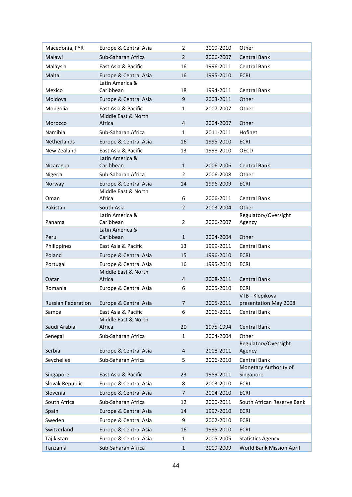| Macedonia, FYR            | Europe & Central Asia                        | $\overline{2}$   | 2009-2010 | Other                              |
|---------------------------|----------------------------------------------|------------------|-----------|------------------------------------|
| Malawi                    | Sub-Saharan Africa                           | $\overline{2}$   | 2006-2007 | <b>Central Bank</b>                |
| Malaysia                  | East Asia & Pacific                          | 16               | 1996-2011 | <b>Central Bank</b>                |
| Malta                     | Europe & Central Asia                        | 16               | 1995-2010 | <b>ECRI</b>                        |
|                           | Latin America &                              |                  |           |                                    |
| Mexico                    | Caribbean                                    | 18               | 1994-2011 | <b>Central Bank</b>                |
| Moldova                   | Europe & Central Asia                        | $\boldsymbol{9}$ | 2003-2011 | Other                              |
| Mongolia                  | East Asia & Pacific<br>Middle East & North   | $\mathbf{1}$     | 2007-2007 | Other                              |
| Morocco                   | Africa                                       | $\overline{4}$   | 2004-2007 | Other                              |
| Namibia                   | Sub-Saharan Africa                           | $\mathbf{1}$     | 2011-2011 | Hofinet                            |
| Netherlands               | Europe & Central Asia                        | 16               | 1995-2010 | <b>ECRI</b>                        |
| New Zealand               | East Asia & Pacific                          | 13               | 1998-2010 | OECD                               |
|                           | Latin America &                              |                  |           |                                    |
| Nicaragua                 | Caribbean                                    | $\mathbf{1}$     | 2006-2006 | <b>Central Bank</b>                |
| Nigeria                   | Sub-Saharan Africa                           | $\overline{2}$   | 2006-2008 | Other                              |
| Norway                    | Europe & Central Asia<br>Middle East & North | 14               | 1996-2009 | <b>ECRI</b>                        |
| Oman                      | Africa                                       | 6                | 2006-2011 | <b>Central Bank</b>                |
| Pakistan                  | South Asia                                   | $\overline{2}$   | 2003-2004 | Other                              |
|                           | Latin America &                              |                  |           | Regulatory/Oversight               |
| Panama                    | Caribbean                                    | $\overline{2}$   | 2006-2007 | Agency                             |
|                           | Latin America &<br>Caribbean                 | $\mathbf{1}$     | 2004-2004 | Other                              |
| Peru<br>Philippines       | East Asia & Pacific                          | 13               | 1999-2011 | <b>Central Bank</b>                |
| Poland                    | Europe & Central Asia                        | 15               | 1996-2010 | <b>ECRI</b>                        |
| Portugal                  | Europe & Central Asia                        | 16               | 1995-2010 | <b>ECRI</b>                        |
|                           | Middle East & North                          |                  |           |                                    |
| Qatar                     | Africa                                       | $\overline{4}$   | 2008-2011 | <b>Central Bank</b>                |
| Romania                   | Europe & Central Asia                        | 6                | 2005-2010 | <b>ECRI</b>                        |
|                           |                                              |                  |           | VTB - Klepikova                    |
| <b>Russian Federation</b> | Europe & Central Asia                        | 7                | 2005-2011 | presentation May 2008              |
| Samoa                     | East Asia & Pacific<br>Middle East & North   | 6                | 2006-2011 | Central Bank                       |
| Saudi Arabia              | Africa                                       | 20               | 1975-1994 | <b>Central Bank</b>                |
| Senegal                   | Sub-Saharan Africa                           | $\mathbf{1}$     | 2004-2004 | Other                              |
|                           |                                              |                  |           | Regulatory/Oversight               |
| Serbia                    | Europe & Central Asia                        | 4                | 2008-2011 | Agency                             |
| Seychelles                | Sub-Saharan Africa                           | 5                | 2006-2010 | Central Bank                       |
| Singapore                 | East Asia & Pacific                          | 23               | 1989-2011 | Monetary Authority of<br>Singapore |
| Slovak Republic           | Europe & Central Asia                        | 8                | 2003-2010 | <b>ECRI</b>                        |
| Slovenia                  | Europe & Central Asia                        | $\overline{7}$   | 2004-2010 | <b>ECRI</b>                        |
| South Africa              | Sub-Saharan Africa                           | 12               | 2000-2011 | South African Reserve Bank         |
| Spain                     | Europe & Central Asia                        | 14               | 1997-2010 | <b>ECRI</b>                        |
| Sweden                    | Europe & Central Asia                        | 9                | 2002-2010 | <b>ECRI</b>                        |
| Switzerland               | Europe & Central Asia                        | 16               | 1995-2010 | <b>ECRI</b>                        |
| Tajikistan                | Europe & Central Asia                        | $\mathbf{1}$     | 2005-2005 | <b>Statistics Agency</b>           |
| Tanzania                  | Sub-Saharan Africa                           | $\mathbf{1}$     | 2009-2009 | World Bank Mission April           |
|                           |                                              |                  |           |                                    |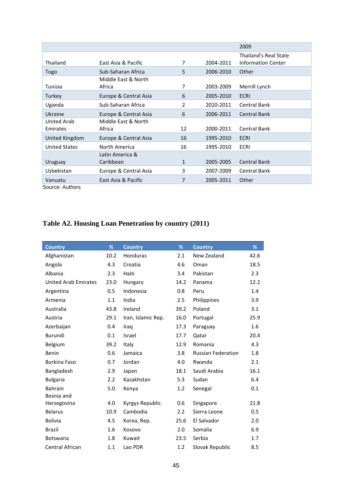|                      |                       |    |           | 2009                                        |
|----------------------|-----------------------|----|-----------|---------------------------------------------|
| Thailand             | East Asia & Pacific   | 7  | 2004-2011 | Thailand's Real State<br>Information Center |
|                      |                       |    |           |                                             |
| Togo                 | Sub-Saharan Africa    | 5  | 2006-2010 | Other                                       |
|                      | Middle East & North   |    |           |                                             |
| Tunisia              | Africa                | 7  | 2003-2009 | Merrill Lynch                               |
| Turkey               | Europe & Central Asia | 6  | 2005-2010 | <b>ECRI</b>                                 |
| Uganda               | Sub-Saharan Africa    | 2  | 2010-2011 | <b>Central Bank</b>                         |
| Ukraine              | Europe & Central Asia | 6  | 2006-2011 | <b>Central Bank</b>                         |
| United Arab          | Middle East & North   |    |           |                                             |
| Emirates             | Africa                | 12 | 2000-2011 | <b>Central Bank</b>                         |
| United Kingdom       | Europe & Central Asia | 16 | 1995-2010 | <b>ECRI</b>                                 |
| <b>United States</b> | North America         | 16 | 1995-2010 | <b>ECRI</b>                                 |
|                      | Latin America &       |    |           |                                             |
| Uruguay              | Caribbean             | 1  | 2005-2005 | <b>Central Bank</b>                         |
| Uzbekistan           | Europe & Central Asia | 3  | 2007-2009 | <b>Central Bank</b>                         |
| Vanuatu              | East Asia & Pacific   | 7  | 2005-2011 | Other                                       |
|                      |                       |    |           |                                             |

Source: Authors

Ñ

# **Table A2. Housing Loan Penetration by country (2011)**

| <b>Country</b>              | %    | <b>Country</b>     | %    | <b>Country</b>            | %    |
|-----------------------------|------|--------------------|------|---------------------------|------|
| Afghanistan                 | 10.2 | Honduras           | 2.1  | New Zealand               | 42.6 |
| Angola                      | 4.3  | Croatia            | 4.6  | Oman                      | 18.5 |
| Albania                     | 2.3  | Haiti              | 3.4  | Pakistan                  | 2.3  |
| <b>United Arab Emirates</b> | 23.0 | Hungary            | 14.2 | Panama                    | 12.2 |
| Argentina                   | 0.5  | Indonesia          | 0.8  | Peru                      | 1.4  |
| Armenia                     | 1.1  | India              | 2.5  | Philippines               | 3.9  |
| Australia                   | 43.8 | Ireland            | 39.2 | Poland                    | 3.1  |
| Austria                     | 29.1 | Iran, Islamic Rep. | 16.0 | Portugal                  | 25.9 |
| Azerbaijan                  | 0.4  | Iraq               | 17.3 | Paraguay                  | 1.6  |
| Burundi                     | 0.1  | Israel             | 17.7 | Qatar                     | 20.4 |
| Belgium                     | 39.2 | Italy              | 12.9 | Romania                   | 4.3  |
| Benin                       | 0.6  | Jamaica            | 3.8  | <b>Russian Federation</b> | 1.8  |
| <b>Burkina Faso</b>         | 0.7  | Jordan             | 4.0  | Rwanda                    | 2.1  |
| Bangladesh                  | 2.9  | Japan              | 18.1 | Saudi Arabia              | 16.1 |
| <b>Bulgaria</b>             | 2.2  | Kazakhstan         | 5.3  | Sudan                     | 6.4  |
| <b>Bahrain</b>              | 5.0  | Kenya              | 1.2  | Senegal                   | 0.1  |
| Bosnia and                  |      |                    |      |                           |      |
| Herzegovina                 | 4.0  | Kyrgyz Republic    | 0.6  | Singapore                 | 21.8 |
| <b>Belarus</b>              | 10.9 | Cambodia           | 2.2  | Sierra Leone              | 0.5  |
| <b>Bolivia</b>              | 4.5  | Korea, Rep.        | 25.6 | El Salvador               | 2.0  |
| <b>Brazil</b>               | 1.6  | Kosovo             | 2.0  | Somalia                   | 6.9  |
| Botswana                    | 1.8  | Kuwait             | 23.5 | Serbia                    | 1.7  |
| Central African             | 1.1  | Lao PDR            | 1.2  | Slovak Republic           | 8.5  |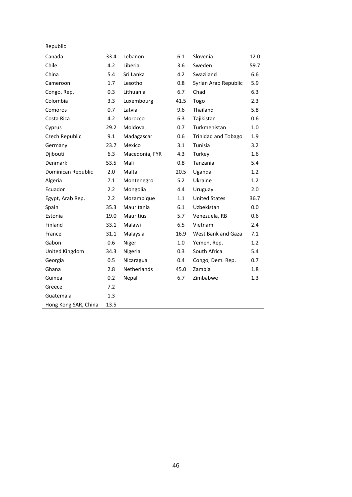| Republic             |      |                |      |                            |      |
|----------------------|------|----------------|------|----------------------------|------|
| Canada               | 33.4 | Lebanon        | 6.1  | Slovenia                   | 12.0 |
| Chile                | 4.2  | Liberia        | 3.6  | Sweden                     | 59.7 |
| China                | 5.4  | Sri Lanka      | 4.2  | Swaziland                  | 6.6  |
| Cameroon             | 1.7  | Lesotho        | 0.8  | Syrian Arab Republic       | 5.9  |
| Congo, Rep.          | 0.3  | Lithuania      | 6.7  | Chad                       | 6.3  |
| Colombia             | 3.3  | Luxembourg     | 41.5 | Togo                       | 2.3  |
| Comoros              | 0.7  | Latvia         | 9.6  | Thailand                   | 5.8  |
| Costa Rica           | 4.2  | Morocco        | 6.3  | Tajikistan                 | 0.6  |
| Cyprus               | 29.2 | Moldova        | 0.7  | Turkmenistan               | 1.0  |
| Czech Republic       | 9.1  | Madagascar     | 0.6  | <b>Trinidad and Tobago</b> | 1.9  |
| Germany              | 23.7 | Mexico         | 3.1  | Tunisia                    | 3.2  |
| Djibouti             | 6.3  | Macedonia, FYR | 4.3  | Turkey                     | 1.6  |
| Denmark              | 53.5 | Mali           | 0.8  | Tanzania                   | 5.4  |
| Dominican Republic   | 2.0  | Malta          | 20.5 | Uganda                     | 1.2  |
| Algeria              | 7.1  | Montenegro     | 5.2  | Ukraine                    | 1.2  |
| Ecuador              | 2.2  | Mongolia       | 4.4  | Uruguay                    | 2.0  |
| Egypt, Arab Rep.     | 2.2  | Mozambique     | 1.1  | <b>United States</b>       | 36.7 |
| Spain                | 35.3 | Mauritania     | 6.1  | Uzbekistan                 | 0.0  |
| Estonia              | 19.0 | Mauritius      | 5.7  | Venezuela, RB              | 0.6  |
| Finland              | 33.1 | Malawi         | 6.5  | Vietnam                    | 2.4  |
| France               | 31.1 | Malaysia       | 16.9 | West Bank and Gaza         | 7.1  |
| Gabon                | 0.6  | Niger          | 1.0  | Yemen, Rep.                | 1.2  |
| United Kingdom       | 34.3 | Nigeria        | 0.3  | South Africa               | 5.4  |
| Georgia              | 0.5  | Nicaragua      | 0.4  | Congo, Dem. Rep.           | 0.7  |
| Ghana                | 2.8  | Netherlands    | 45.0 | Zambia                     | 1.8  |
| Guinea               | 0.2  | Nepal          | 6.7  | Zimbabwe                   | 1.3  |
| Greece               | 7.2  |                |      |                            |      |
| Guatemala            | 1.3  |                |      |                            |      |
| Hong Kong SAR, China | 13.5 |                |      |                            |      |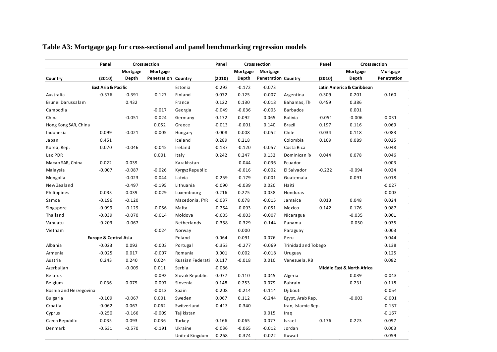|                        | Panel                            |          | <b>Cross section</b>       |                  | Panel    |          | <b>Cross section</b>       |                     | Panel                     | <b>Cross section</b>                  |             |
|------------------------|----------------------------------|----------|----------------------------|------------------|----------|----------|----------------------------|---------------------|---------------------------|---------------------------------------|-------------|
|                        |                                  | Mortgage | Mortgage                   |                  |          | Mortgage | Mortgage                   |                     |                           | Mortgage                              | Mortgage    |
| Country                | (2010)                           | Depth    | <b>Penetration Country</b> |                  | (2010)   | Depth    | <b>Penetration Country</b> |                     | (2010)                    | Depth                                 | Penetration |
| East Asia & Pacific    |                                  |          | Estonia                    | $-0.292$         | $-0.172$ | $-0.073$ |                            |                     | Latin America & Caribbean |                                       |             |
| Australia              | $-0.376$                         | $-0.391$ | $-0.127$                   | Finland          | 0.072    | 0.125    | $-0.007$                   | Argentina           | 0.309                     | 0.201                                 | 0.160       |
| Brunei Darussalam      |                                  | 0.432    |                            | France           | 0.122    | 0.130    | $-0.018$                   | Bahamas, The        | 0.459                     | 0.386                                 |             |
| Cambodia               |                                  |          | $-0.017$                   | Georgia          | $-0.049$ | $-0.036$ | $-0.005$                   | <b>Barbados</b>     |                           | 0.001                                 |             |
| China                  |                                  | $-0.051$ | $-0.024$                   | Germany          | 0.172    | 0.092    | 0.065                      | <b>Bolivia</b>      | $-0.051$                  | $-0.006$                              | $-0.031$    |
| Hong Kong SAR, China   |                                  |          | 0.052                      | Greece           | $-0.013$ | $-0.001$ | 0.140                      | Brazil              | 0.197                     | 0.116                                 | 0.069       |
| Indonesia              | 0.099                            | $-0.021$ | $-0.005$                   | Hungary          | 0.008    | 0.008    | $-0.052$                   | Chile               | 0.034                     | 0.118                                 | 0.083       |
| Japan                  | 0.451                            |          |                            | Iceland          | 0.289    | 0.218    |                            | Colombia            | 0.109                     | 0.089                                 | 0.025       |
| Korea, Rep.            | 0.070                            | $-0.046$ | $-0.045$                   | Ireland          | $-0.137$ | $-0.120$ | $-0.057$                   | Costa Rica          |                           |                                       | 0.048       |
| Lao PDR                |                                  |          | 0.001                      | Italy            | 0.242    | 0.247    | 0.132                      | Dominican Re        | 0.044                     | 0.078                                 | 0.046       |
| Macao SAR, China       | 0.022                            | 0.039    |                            | Kazakhstan       |          | $-0.044$ | $-0.036$                   | Ecuador             |                           |                                       | 0.003       |
| Malaysia               | $-0.007$                         | $-0.087$ | $-0.026$                   | Kyrgyz Republic  |          | $-0.016$ | $-0.002$                   | El Salvador         | $-0.222$                  | $-0.094$                              | 0.024       |
| Mongolia               |                                  | $-0.023$ | $-0.044$                   | Latvia           | $-0.259$ | $-0.179$ | $-0.001$                   | Guatemala           |                           | 0.091                                 | 0.018       |
| New Zealand            |                                  | $-0.497$ | $-0.195$                   | Lithuania        | $-0.090$ | $-0.039$ | 0.020                      | Haiti               |                           |                                       | $-0.027$    |
| Philippines            | 0.033                            | 0.039    | $-0.029$                   | Luxembourg       | 0.216    | 0.275    | 0.038                      | Honduras            |                           |                                       | $-0.003$    |
| Samoa                  | $-0.196$                         | $-0.120$ |                            | Macedonia, FYR   | $-0.037$ | 0.078    | $-0.015$                   | Jamaica             | 0.013                     | 0.048                                 | 0.024       |
| Singapore              | $-0.099$                         | $-0.129$ | $-0.056$                   | Malta            | $-0.254$ | $-0.093$ | $-0.051$                   | Mexico              | 0.142                     | 0.176                                 | 0.087       |
| Thailand               | $-0.039$                         | $-0.070$ | $-0.014$                   | Moldova          | $-0.005$ | $-0.003$ | $-0.007$                   | Nicaragua           |                           | $-0.035$                              | 0.001       |
| Vanuatu                | $-0.203$                         | $-0.067$ |                            | Netherlands      | $-0.358$ | $-0.329$ | $-0.144$                   | Panama              |                           | $-0.050$                              | 0.035       |
| Vietnam                |                                  |          | $-0.024$                   | Norway           |          | 0.000    |                            | Paraguay            |                           |                                       | 0.003       |
|                        | <b>Europe &amp; Central Asia</b> |          |                            | Poland           | 0.064    | 0.091    | 0.076                      | Peru                |                           |                                       | 0.044       |
| Albania                | $-0.023$                         | 0.092    | $-0.003$                   | Portugal         | $-0.353$ | $-0.277$ | $-0.069$                   | Trinidad and Tobago |                           |                                       | 0.138       |
| Armenia                | $-0.025$                         | 0.017    | $-0.007$                   | Romania          | 0.001    | 0.002    | $-0.018$                   | Uruguay             |                           |                                       | 0.125       |
| Austria                | 0.243                            | 0.240    | 0.024                      | Russian Federati | 0.117    | $-0.018$ | 0.010                      | Venezuela, RB       |                           |                                       | 0.082       |
| Azerbaijan             |                                  | $-0.009$ | 0.011                      | Serbia           | $-0.086$ |          |                            |                     |                           | <b>Middle East &amp; North Africa</b> |             |
| <b>Belarus</b>         |                                  |          | $-0.092$                   | Slovak Republic  | 0.077    | 0.110    | 0.045                      | Algeria             |                           | 0.039                                 | $-0.043$    |
| Belgium                | 0.036                            | 0.075    | $-0.097$                   | Slovenia         | 0.148    | 0.253    | 0.079                      | Bahrain             |                           | 0.231                                 | 0.118       |
| Bosnia and Herzegovina |                                  |          | $-0.013$                   | Spain            | $-0.208$ | $-0.214$ | $-0.114$                   | Djibouti            |                           |                                       | $-0.054$    |
| <b>Bulgaria</b>        | $-0.109$                         | $-0.067$ | 0.001                      | Sweden           | 0.067    | 0.112    | $-0.244$                   | Egypt, Arab Rep.    |                           | $-0.003$                              | $-0.001$    |
| Croatia                | $-0.062$                         | 0.067    | 0.062                      | Switzerland      | $-0.413$ | $-0.340$ |                            | Iran, Islamic Rep.  |                           |                                       | $-0.137$    |
| Cyprus                 | $-0.250$                         | $-0.166$ | $-0.009$                   | Tajikistan       |          |          | 0.015                      | Iraq                |                           |                                       | $-0.167$    |
| Czech Republic         | 0.035                            | 0.093    | 0.036                      | Turkey           | 0.166    | 0.065    | 0.077                      | Israel              | 0.176                     | 0.223                                 | 0.097       |
| Denmark                | $-0.631$                         | $-0.570$ | $-0.191$                   | Ukraine          | $-0.036$ | $-0.065$ | $-0.012$                   | Jordan              |                           |                                       | 0.003       |
|                        |                                  |          |                            | United Kingdom   | $-0.268$ | $-0.374$ | $-0.022$                   | Kuwait              |                           |                                       | 0.059       |

**Table A3: Mortgage gap for cross-sectional and panel benchmarking regression models**